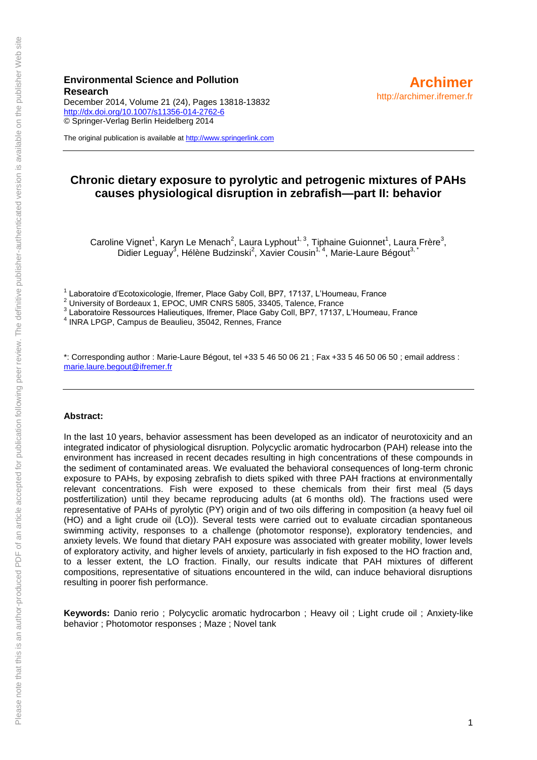#### **Environmental Science and Pollution Research**

December 2014, Volume 21 (24), Pages 13818-13832 <http://dx.doi.org/10.1007/s11356-014-2762-6> © Springer-Verlag Berlin Heidelberg 2014

The original publication is available at [http://www.springerlink.com](http://www.springerlink.com/)

### **Chronic dietary exposure to pyrolytic and petrogenic mixtures of PAHs causes physiological disruption in zebrafish—part II: behavior**

Caroline Vignet<sup>1</sup>, Karyn Le Menach<sup>2</sup>, Laura Lyphout<sup>1, 3</sup>, Tiphaine Guionnet<sup>1</sup>, Laura Frère<sup>3</sup>, Didier Leguay<sup>3</sup>, Hélène Budzinski<sup>2</sup>, Xavier Cousin<sup>1,4</sup>, Marie-Laure Bégout<sup>3, \*</sup>

<sup>1</sup> Laboratoire d'Ecotoxicologie, Ifremer, Place Gaby Coll, BP7, 17137, L'Houmeau, France

 $2$  University of Bordeaux 1, EPOC, UMR CNRS 5805, 33405, Talence, France

3 Laboratoire Ressources Halieutiques, Ifremer, Place Gaby Coll, BP7, 17137, L'Houmeau, France

4 INRA LPGP, Campus de Beaulieu, 35042, Rennes, France

\*: Corresponding author : Marie-Laure Bégout, tel +33 5 46 50 06 21 ; Fax +33 5 46 50 06 50 ; email address : [marie.laure.begout@ifremer.fr](mailto:marie.laure.begout@ifremer.fr) 

#### **Abstract:**

In the last 10 years, behavior assessment has been developed as an indicator of neurotoxicity and an integrated indicator of physiological disruption. Polycyclic aromatic hydrocarbon (PAH) release into the environment has increased in recent decades resulting in high concentrations of these compounds in the sediment of contaminated areas. We evaluated the behavioral consequences of long-term chronic exposure to PAHs, by exposing zebrafish to diets spiked with three PAH fractions at environmentally relevant concentrations. Fish were exposed to these chemicals from their first meal (5 days postfertilization) until they became reproducing adults (at 6 months old). The fractions used were representative of PAHs of pyrolytic (PY) origin and of two oils differing in composition (a heavy fuel oil (HO) and a light crude oil (LO)). Several tests were carried out to evaluate circadian spontaneous swimming activity, responses to a challenge (photomotor response), exploratory tendencies, and anxiety levels. We found that dietary PAH exposure was associated with greater mobility, lower levels of exploratory activity, and higher levels of anxiety, particularly in fish exposed to the HO fraction and, to a lesser extent, the LO fraction. Finally, our results indicate that PAH mixtures of different compositions, representative of situations encountered in the wild, can induce behavioral disruptions resulting in poorer fish performance.

**Keywords:** Danio rerio ; Polycyclic aromatic hydrocarbon ; Heavy oil ; Light crude oil ; Anxiety-like behavior ; Photomotor responses ; Maze ; Novel tank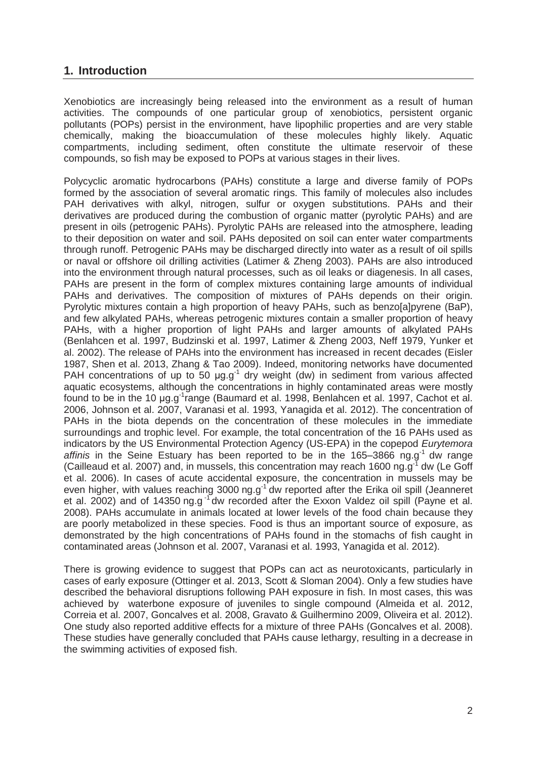# **1. Introduction**

Xenobiotics are increasingly being released into the environment as a result of human activities. The compounds of one particular group of xenobiotics, persistent organic pollutants (POPs) persist in the environment, have lipophilic properties and are very stable chemically, making the bioaccumulation of these molecules highly likely. Aquatic compartments, including sediment, often constitute the ultimate reservoir of these compounds, so fish may be exposed to POPs at various stages in their lives.

Polycyclic aromatic hydrocarbons (PAHs) constitute a large and diverse family of POPs formed by the association of several aromatic rings. This family of molecules also includes PAH derivatives with alkyl, nitrogen, sulfur or oxygen substitutions. PAHs and their derivatives are produced during the combustion of organic matter (pyrolytic PAHs) and are present in oils (petrogenic PAHs). Pyrolytic PAHs are released into the atmosphere, leading to their deposition on water and soil. PAHs deposited on soil can enter water compartments through runoff. Petrogenic PAHs may be discharged directly into water as a result of oil spills or naval or offshore oil drilling activities (Latimer & Zheng 2003). PAHs are also introduced into the environment through natural processes, such as oil leaks or diagenesis. In all cases, PAHs are present in the form of complex mixtures containing large amounts of individual PAHs and derivatives. The composition of mixtures of PAHs depends on their origin. Pyrolytic mixtures contain a high proportion of heavy PAHs, such as benzo[a]pyrene (BaP), and few alkylated PAHs, whereas petrogenic mixtures contain a smaller proportion of heavy PAHs, with a higher proportion of light PAHs and larger amounts of alkylated PAHs (Benlahcen et al. 1997, Budzinski et al. 1997, Latimer & Zheng 2003, Neff 1979, Yunker et al. 2002). The release of PAHs into the environment has increased in recent decades (Eisler 1987, Shen et al. 2013, Zhang & Tao 2009). Indeed, monitoring networks have documented PAH concentrations of up to 50  $\mu$ g.g<sup>-1</sup> dry weight (dw) in sediment from various affected aquatic ecosystems, although the concentrations in highly contaminated areas were mostly found to be in the 10 μg.g-1range (Baumard et al. 1998, Benlahcen et al. 1997, Cachot et al. 2006, Johnson et al. 2007, Varanasi et al. 1993, Yanagida et al. 2012). The concentration of PAHs in the biota depends on the concentration of these molecules in the immediate surroundings and trophic level. For example, the total concentration of the 16 PAHs used as indicators by the US Environmental Protection Agency (US-EPA) in the copepod *Eurytemora*  affinis in the Seine Estuary has been reported to be in the 165–3866 ng.g<sup>-1</sup> dw range (Cailleaud et al. 2007) and, in mussels, this concentration may reach 1600 ng.g<sup>-1</sup> dw (Le Goff et al. 2006). In cases of acute accidental exposure, the concentration in mussels may be even higher, with values reaching 3000 ng.g<sup>-1</sup> dw reported after the Erika oil spill (Jeanneret et al. 2002) and of 14350 ng.g<sup>-1</sup> dw recorded after the Exxon Valdez oil spill (Payne et al. 2008). PAHs accumulate in animals located at lower levels of the food chain because they are poorly metabolized in these species. Food is thus an important source of exposure, as demonstrated by the high concentrations of PAHs found in the stomachs of fish caught in contaminated areas (Johnson et al. 2007, Varanasi et al. 1993, Yanagida et al. 2012).

There is growing evidence to suggest that POPs can act as neurotoxicants, particularly in cases of early exposure (Ottinger et al. 2013, Scott & Sloman 2004). Only a few studies have described the behavioral disruptions following PAH exposure in fish. In most cases, this was achieved by waterbone exposure of juveniles to single compound (Almeida et al. 2012, Correia et al. 2007, Goncalves et al. 2008, Gravato & Guilhermino 2009, Oliveira et al. 2012). One study also reported additive effects for a mixture of three PAHs (Goncalves et al. 2008). These studies have generally concluded that PAHs cause lethargy, resulting in a decrease in the swimming activities of exposed fish.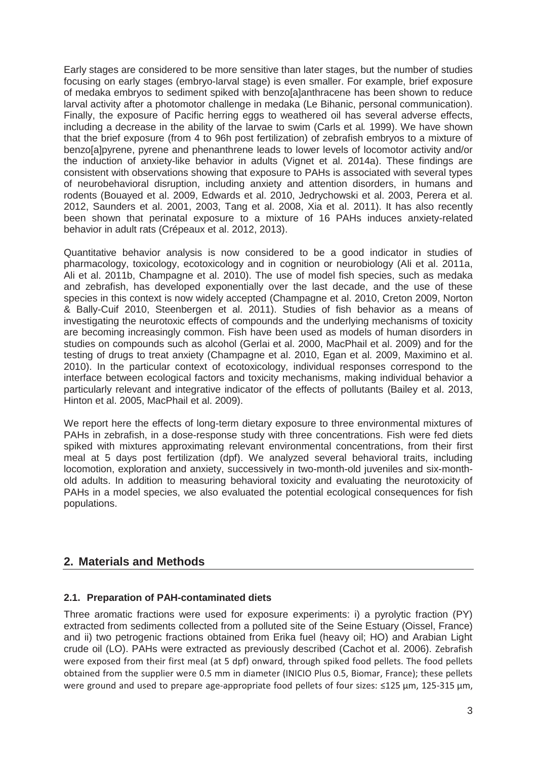Early stages are considered to be more sensitive than later stages, but the number of studies focusing on early stages (embryo-larval stage) is even smaller. For example, brief exposure of medaka embryos to sediment spiked with benzo[a]anthracene has been shown to reduce larval activity after a photomotor challenge in medaka (Le Bihanic, personal communication). Finally, the exposure of Pacific herring eggs to weathered oil has several adverse effects, including a decrease in the ability of the larvae to swim (Carls et al*.* 1999). We have shown that the brief exposure (from 4 to 96h post fertilization) of zebrafish embryos to a mixture of benzo[a]pyrene, pyrene and phenanthrene leads to lower levels of locomotor activity and/or the induction of anxiety-like behavior in adults (Vignet et al. 2014a). These findings are consistent with observations showing that exposure to PAHs is associated with several types of neurobehavioral disruption, including anxiety and attention disorders, in humans and rodents (Bouayed et al. 2009, Edwards et al. 2010, Jedrychowski et al. 2003, Perera et al. 2012, Saunders et al. 2001, 2003, Tang et al. 2008, Xia et al. 2011). It has also recently been shown that perinatal exposure to a mixture of 16 PAHs induces anxiety-related behavior in adult rats (Crépeaux et al. 2012, 2013).

Quantitative behavior analysis is now considered to be a good indicator in studies of pharmacology, toxicology, ecotoxicology and in cognition or neurobiology (Ali et al. 2011a, Ali et al. 2011b, Champagne et al. 2010). The use of model fish species, such as medaka and zebrafish, has developed exponentially over the last decade, and the use of these species in this context is now widely accepted (Champagne et al. 2010, Creton 2009, Norton & Bally-Cuif 2010, Steenbergen et al. 2011). Studies of fish behavior as a means of investigating the neurotoxic effects of compounds and the underlying mechanisms of toxicity are becoming increasingly common. Fish have been used as models of human disorders in studies on compounds such as alcohol (Gerlai et al. 2000, MacPhail et al. 2009) and for the testing of drugs to treat anxiety (Champagne et al. 2010, Egan et al. 2009, Maximino et al. 2010). In the particular context of ecotoxicology, individual responses correspond to the interface between ecological factors and toxicity mechanisms, making individual behavior a particularly relevant and integrative indicator of the effects of pollutants (Bailey et al. 2013, Hinton et al. 2005, MacPhail et al. 2009).

We report here the effects of long-term dietary exposure to three environmental mixtures of PAHs in zebrafish, in a dose-response study with three concentrations. Fish were fed diets spiked with mixtures approximating relevant environmental concentrations, from their first meal at 5 days post fertilization (dpf). We analyzed several behavioral traits, including locomotion, exploration and anxiety, successively in two-month-old juveniles and six-monthold adults. In addition to measuring behavioral toxicity and evaluating the neurotoxicity of PAHs in a model species, we also evaluated the potential ecological consequences for fish populations.

# **2. Materials and Methods**

#### **2.1. Preparation of PAH-contaminated diets**

Three aromatic fractions were used for exposure experiments: i) a pyrolytic fraction (PY) extracted from sediments collected from a polluted site of the Seine Estuary (Oissel, France) and ii) two petrogenic fractions obtained from Erika fuel (heavy oil; HO) and Arabian Light crude oil (LO). PAHs were extracted as previously described (Cachot et al. 2006). Zebrafish were exposed from their first meal (at 5 dpf) onward, through spiked food pellets. The food pellets obtained from the supplier were 0.5 mm in diameter (INICIO Plus 0.5, Biomar, France); these pellets were ground and used to prepare age-appropriate food pellets of four sizes: ≤125 μm, 125-315 μm,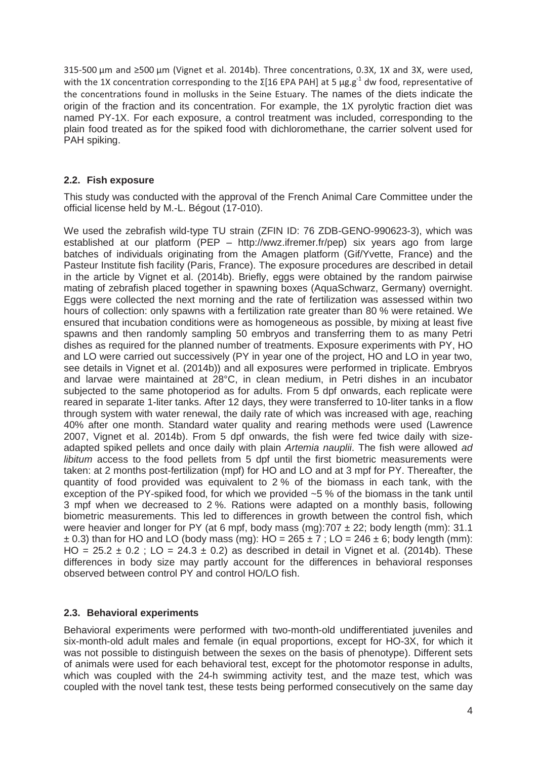315-500 μm and ≥500 μm (Vignet et al. 2014b). Three concentrations, 0.3X, 1X and 3X, were used, with the 1X concentration corresponding to the  $\Sigma$ [16 EPA PAH] at 5  $\mu$ g.g<sup>-1</sup> dw food, representative of the concentrations found in mollusks in the Seine Estuary. The names of the diets indicate the origin of the fraction and its concentration. For example, the 1X pyrolytic fraction diet was named PY-1X. For each exposure, a control treatment was included, corresponding to the plain food treated as for the spiked food with dichloromethane, the carrier solvent used for PAH spiking.

#### **2.2. Fish exposure**

This study was conducted with the approval of the French Animal Care Committee under the official license held by M.-L. Bégout (17-010).

We used the zebrafish wild-type TU strain (ZFIN ID: 76 ZDB-GENO-990623-3), which was established at our platform (PEP – http://wwz.ifremer.fr/pep) six years ago from large batches of individuals originating from the Amagen platform (Gif/Yvette, France) and the Pasteur Institute fish facility (Paris, France). The exposure procedures are described in detail in the article by Vignet et al. (2014b). Briefly, eggs were obtained by the random pairwise mating of zebrafish placed together in spawning boxes (AquaSchwarz, Germany) overnight. Eggs were collected the next morning and the rate of fertilization was assessed within two hours of collection: only spawns with a fertilization rate greater than 80 % were retained. We ensured that incubation conditions were as homogeneous as possible, by mixing at least five spawns and then randomly sampling 50 embryos and transferring them to as many Petri dishes as required for the planned number of treatments. Exposure experiments with PY, HO and LO were carried out successively (PY in year one of the project, HO and LO in year two, see details in Vignet et al. (2014b)) and all exposures were performed in triplicate. Embryos and larvae were maintained at 28°C, in clean medium, in Petri dishes in an incubator subjected to the same photoperiod as for adults. From 5 dpf onwards, each replicate were reared in separate 1-liter tanks. After 12 days, they were transferred to 10-liter tanks in a flow through system with water renewal, the daily rate of which was increased with age, reaching 40% after one month. Standard water quality and rearing methods were used (Lawrence 2007, Vignet et al. 2014b). From 5 dpf onwards, the fish were fed twice daily with sizeadapted spiked pellets and once daily with plain *Artemia nauplii*. The fish were allowed *ad libitum* access to the food pellets from 5 dpf until the first biometric measurements were taken: at 2 months post-fertilization (mpf) for HO and LO and at 3 mpf for PY. Thereafter, the quantity of food provided was equivalent to 2 % of the biomass in each tank, with the exception of the PY-spiked food, for which we provided ~5 % of the biomass in the tank until 3 mpf when we decreased to 2 %. Rations were adapted on a monthly basis, following biometric measurements. This led to differences in growth between the control fish, which were heavier and longer for PY (at 6 mpf, body mass (mg):707  $\pm$  22; body length (mm): 31.1  $\pm$  0.3) than for HO and LO (body mass (mg): HO = 265  $\pm$  7 : LO = 246  $\pm$  6; body length (mm): HO =  $25.2 \pm 0.2$  ; LO =  $24.3 \pm 0.2$ ) as described in detail in Vignet et al. (2014b). These differences in body size may partly account for the differences in behavioral responses observed between control PY and control HO/LO fish.

#### **2.3. Behavioral experiments**

Behavioral experiments were performed with two-month-old undifferentiated juveniles and six-month-old adult males and female (in equal proportions, except for HO-3X, for which it was not possible to distinguish between the sexes on the basis of phenotype). Different sets of animals were used for each behavioral test, except for the photomotor response in adults, which was coupled with the 24-h swimming activity test, and the maze test, which was coupled with the novel tank test, these tests being performed consecutively on the same day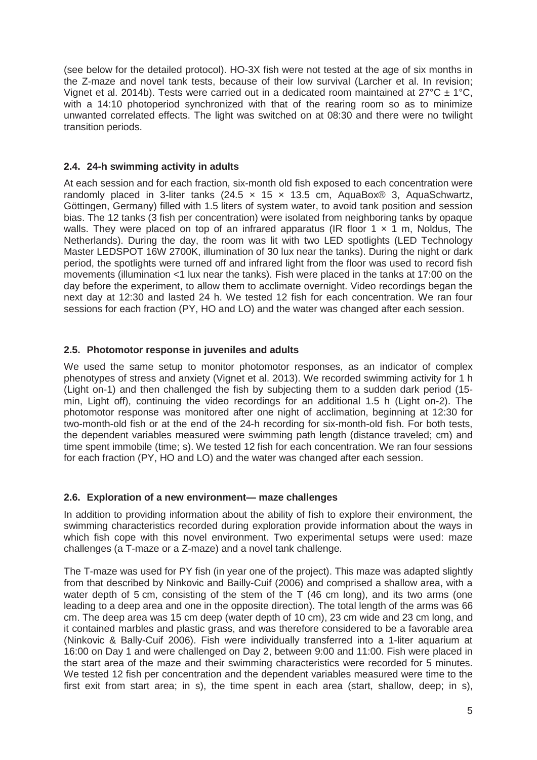(see below for the detailed protocol). HO-3X fish were not tested at the age of six months in the Z-maze and novel tank tests, because of their low survival (Larcher et al. In revision; Vignet et al. 2014b). Tests were carried out in a dedicated room maintained at  $27^{\circ}$ C  $\pm$  1°C, with a 14:10 photoperiod synchronized with that of the rearing room so as to minimize unwanted correlated effects. The light was switched on at 08:30 and there were no twilight transition periods.

#### **2.4. 24-h swimming activity in adults**

At each session and for each fraction, six-month old fish exposed to each concentration were randomly placed in 3-liter tanks  $(24.5 \times 15 \times 13.5 \text{ cm})$ . AquaBox<sup>®</sup> 3, AquaSchwartz, Göttingen, Germany) filled with 1.5 liters of system water, to avoid tank position and session bias. The 12 tanks (3 fish per concentration) were isolated from neighboring tanks by opaque walls. They were placed on top of an infrared apparatus (IR floor  $1 \times 1$  m, Noldus, The Netherlands). During the day, the room was lit with two LED spotlights (LED Technology Master LEDSPOT 16W 2700K, illumination of 30 lux near the tanks). During the night or dark period, the spotlights were turned off and infrared light from the floor was used to record fish movements (illumination <1 lux near the tanks). Fish were placed in the tanks at 17:00 on the day before the experiment, to allow them to acclimate overnight. Video recordings began the next day at 12:30 and lasted 24 h. We tested 12 fish for each concentration. We ran four sessions for each fraction (PY, HO and LO) and the water was changed after each session.

#### **2.5. Photomotor response in juveniles and adults**

We used the same setup to monitor photomotor responses, as an indicator of complex phenotypes of stress and anxiety (Vignet et al. 2013). We recorded swimming activity for 1 h (Light on-1) and then challenged the fish by subjecting them to a sudden dark period (15 min, Light off), continuing the video recordings for an additional 1.5 h (Light on-2). The photomotor response was monitored after one night of acclimation, beginning at 12:30 for two-month-old fish or at the end of the 24-h recording for six-month-old fish. For both tests, the dependent variables measured were swimming path length (distance traveled; cm) and time spent immobile (time; s). We tested 12 fish for each concentration. We ran four sessions for each fraction (PY, HO and LO) and the water was changed after each session.

#### **2.6. Exploration of a new environment— maze challenges**

In addition to providing information about the ability of fish to explore their environment, the swimming characteristics recorded during exploration provide information about the ways in which fish cope with this novel environment. Two experimental setups were used: maze challenges (a T-maze or a Z-maze) and a novel tank challenge.

The T-maze was used for PY fish (in year one of the project). This maze was adapted slightly from that described by Ninkovic and Bailly-Cuif (2006) and comprised a shallow area, with a water depth of 5 cm, consisting of the stem of the T (46 cm long), and its two arms (one leading to a deep area and one in the opposite direction). The total length of the arms was 66 cm. The deep area was 15 cm deep (water depth of 10 cm), 23 cm wide and 23 cm long, and it contained marbles and plastic grass, and was therefore considered to be a favorable area (Ninkovic & Bally-Cuif 2006). Fish were individually transferred into a 1-liter aquarium at 16:00 on Day 1 and were challenged on Day 2, between 9:00 and 11:00. Fish were placed in the start area of the maze and their swimming characteristics were recorded for 5 minutes. We tested 12 fish per concentration and the dependent variables measured were time to the first exit from start area; in s), the time spent in each area (start, shallow, deep; in s),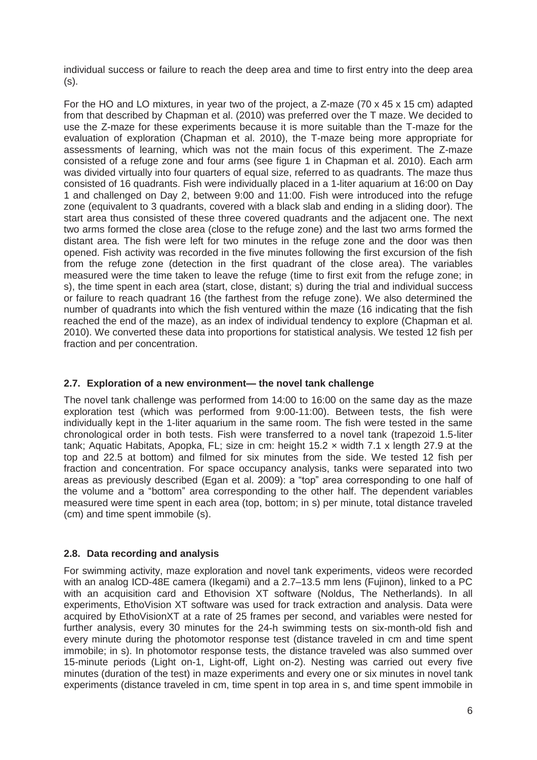individual success or failure to reach the deep area and time to first entry into the deep area (s).

For the HO and LO mixtures, in year two of the project, a Z-maze (70 x 45 x 15 cm) adapted from that described by Chapman et al. (2010) was preferred over the T maze. We decided to use the Z-maze for these experiments because it is more suitable than the T-maze for the evaluation of exploration (Chapman et al. 2010), the T-maze being more appropriate for assessments of learning, which was not the main focus of this experiment. The Z-maze consisted of a refuge zone and four arms (see figure 1 in Chapman et al. 2010). Each arm was divided virtually into four quarters of equal size, referred to as quadrants. The maze thus consisted of 16 quadrants. Fish were individually placed in a 1-liter aquarium at 16:00 on Day 1 and challenged on Day 2, between 9:00 and 11:00. Fish were introduced into the refuge zone (equivalent to 3 quadrants, covered with a black slab and ending in a sliding door). The start area thus consisted of these three covered quadrants and the adjacent one. The next two arms formed the close area (close to the refuge zone) and the last two arms formed the distant area. The fish were left for two minutes in the refuge zone and the door was then opened. Fish activity was recorded in the five minutes following the first excursion of the fish from the refuge zone (detection in the first quadrant of the close area). The variables measured were the time taken to leave the refuge (time to first exit from the refuge zone; in s), the time spent in each area (start, close, distant; s) during the trial and individual success or failure to reach quadrant 16 (the farthest from the refuge zone). We also determined the number of quadrants into which the fish ventured within the maze (16 indicating that the fish reached the end of the maze), as an index of individual tendency to explore (Chapman et al. 2010). We converted these data into proportions for statistical analysis. We tested 12 fish per fraction and per concentration.

#### **2.7. Exploration of a new environment— the novel tank challenge**

The novel tank challenge was performed from 14:00 to 16:00 on the same day as the maze exploration test (which was performed from 9:00-11:00). Between tests, the fish were individually kept in the 1-liter aquarium in the same room. The fish were tested in the same chronological order in both tests. Fish were transferred to a novel tank (trapezoid 1.5-liter tank; Aquatic Habitats, Apopka, FL; size in cm: height 15.2 × width 7.1 x length 27.9 at the top and 22.5 at bottom) and filmed for six minutes from the side. We tested 12 fish per fraction and concentration. For space occupancy analysis, tanks were separated into two areas as previously described (Egan et al. 2009): a "top" area corresponding to one half of the volume and a "bottom" area corresponding to the other half. The dependent variables measured were time spent in each area (top, bottom; in s) per minute, total distance traveled (cm) and time spent immobile (s).

#### **2.8. Data recording and analysis**

For swimming activity, maze exploration and novel tank experiments, videos were recorded with an analog ICD-48E camera (Ikegami) and a 2.7–13.5 mm lens (Fujinon), linked to a PC with an acquisition card and Ethovision XT software (Noldus, The Netherlands). In all experiments, EthoVision XT software was used for track extraction and analysis. Data were acquired by EthoVisionXT at a rate of 25 frames per second, and variables were nested for further analysis, every 30 minutes for the 24-h swimming tests on six-month-old fish and every minute during the photomotor response test (distance traveled in cm and time spent immobile; in s). In photomotor response tests, the distance traveled was also summed over 15-minute periods (Light on-1, Light-off, Light on-2). Nesting was carried out every five minutes (duration of the test) in maze experiments and every one or six minutes in novel tank experiments (distance traveled in cm, time spent in top area in s, and time spent immobile in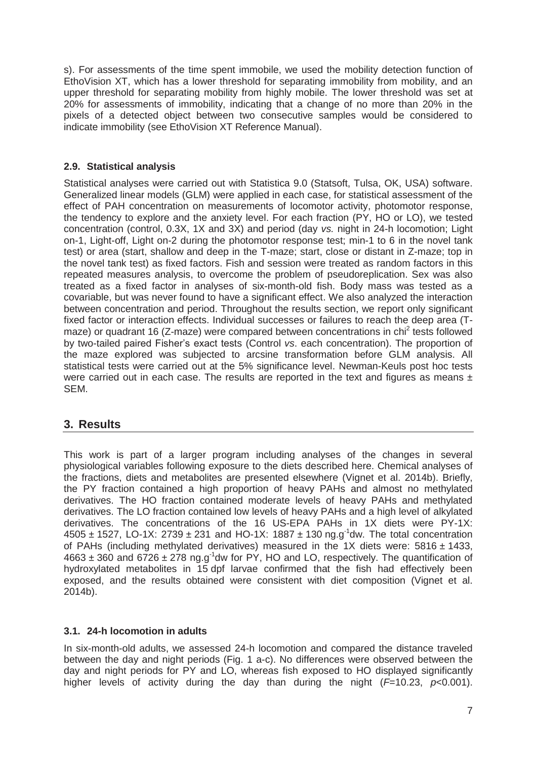s). For assessments of the time spent immobile, we used the mobility detection function of EthoVision XT, which has a lower threshold for separating immobility from mobility, and an upper threshold for separating mobility from highly mobile. The lower threshold was set at 20% for assessments of immobility, indicating that a change of no more than 20% in the pixels of a detected object between two consecutive samples would be considered to indicate immobility (see EthoVision XT Reference Manual).

### **2.9. Statistical analysis**

Statistical analyses were carried out with Statistica 9.0 (Statsoft, Tulsa, OK, USA) software. Generalized linear models (GLM) were applied in each case, for statistical assessment of the effect of PAH concentration on measurements of locomotor activity, photomotor response, the tendency to explore and the anxiety level. For each fraction (PY, HO or LO), we tested concentration (control, 0.3X, 1X and 3X) and period (day *vs.* night in 24-h locomotion; Light on-1, Light-off, Light on-2 during the photomotor response test; min-1 to 6 in the novel tank test) or area (start, shallow and deep in the T-maze; start, close or distant in Z-maze; top in the novel tank test) as fixed factors. Fish and session were treated as random factors in this repeated measures analysis, to overcome the problem of pseudoreplication. Sex was also treated as a fixed factor in analyses of six-month-old fish. Body mass was tested as a covariable, but was never found to have a significant effect. We also analyzed the interaction between concentration and period. Throughout the results section, we report only significant fixed factor or interaction effects. Individual successes or failures to reach the deep area (Tmaze) or quadrant 16 (Z-maze) were compared between concentrations in chi<sup>2</sup> tests followed by two-tailed paired Fisher's exact tests (Control *vs*. each concentration). The proportion of the maze explored was subjected to arcsine transformation before GLM analysis. All statistical tests were carried out at the 5% significance level. Newman-Keuls post hoc tests were carried out in each case. The results are reported in the text and figures as means  $\pm$ SEM.

# **3. Results**

This work is part of a larger program including analyses of the changes in several physiological variables following exposure to the diets described here. Chemical analyses of the fractions, diets and metabolites are presented elsewhere (Vignet et al. 2014b). Briefly, the PY fraction contained a high proportion of heavy PAHs and almost no methylated derivatives. The HO fraction contained moderate levels of heavy PAHs and methylated derivatives. The LO fraction contained low levels of heavy PAHs and a high level of alkylated derivatives. The concentrations of the 16 US-EPA PAHs in 1X diets were PY-1X:  $4505 \pm 1527$ , LO-1X:  $2739 \pm 231$  and HO-1X: 1887  $\pm$  130 ng.g<sup>-1</sup>dw. The total concentration of PAHs (including methylated derivatives) measured in the 1X diets were:  $5816 \pm 1433$ ,  $4663 \pm 360$  and  $6726 \pm 278$  ng.g<sup>-1</sup>dw for PY, HO and LO, respectively. The quantification of hydroxylated metabolites in 15 dpf larvae confirmed that the fish had effectively been exposed, and the results obtained were consistent with diet composition (Vignet et al. 2014b).

#### **3.1. 24-h locomotion in adults**

In six-month-old adults, we assessed 24-h locomotion and compared the distance traveled between the day and night periods (Fig. 1 a-c). No differences were observed between the day and night periods for PY and LO, whereas fish exposed to HO displayed significantly higher levels of activity during the day than during the night (*F*=10.23, *p*<0.001).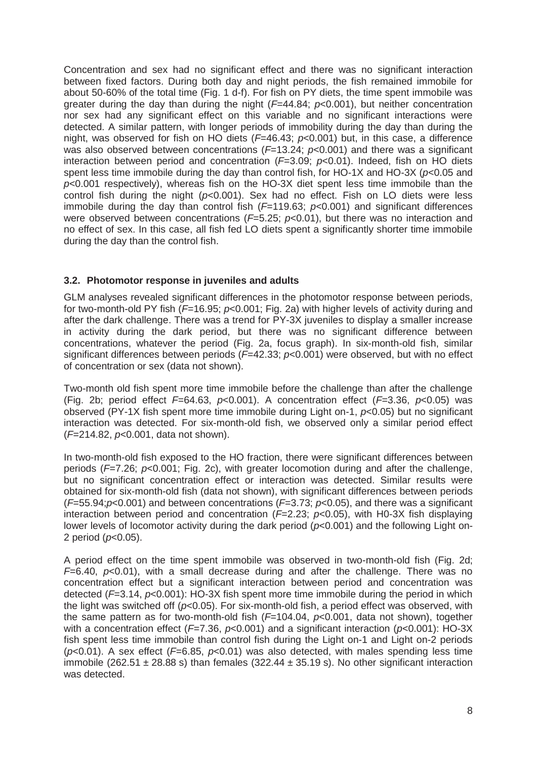Concentration and sex had no significant effect and there was no significant interaction between fixed factors. During both day and night periods, the fish remained immobile for about 50-60% of the total time (Fig. 1 d-f). For fish on PY diets, the time spent immobile was greater during the day than during the night (*F*=44.84; *p*<0.001), but neither concentration nor sex had any significant effect on this variable and no significant interactions were detected. A similar pattern, with longer periods of immobility during the day than during the night, was observed for fish on HO diets (*F*=46.43; *p*<0.001) but, in this case, a difference was also observed between concentrations ( $F=13.24$ ;  $p<0.001$ ) and there was a significant interaction between period and concentration (*F*=3.09; *p*<0.01). Indeed, fish on HO diets spent less time immobile during the day than control fish, for HO-1X and HO-3X (*p*<0.05 and *p*<0.001 respectively), whereas fish on the HO-3X diet spent less time immobile than the control fish during the night (*p*<0.001). Sex had no effect. Fish on LO diets were less immobile during the day than control fish ( $F=119.63$ ;  $p<0.001$ ) and significant differences were observed between concentrations (*F*=5.25; *p*<0.01), but there was no interaction and no effect of sex. In this case, all fish fed LO diets spent a significantly shorter time immobile during the day than the control fish.

#### **3.2. Photomotor response in juveniles and adults**

GLM analyses revealed significant differences in the photomotor response between periods, for two-month-old PY fish (*F*=16.95; *p*<0.001; Fig. 2a) with higher levels of activity during and after the dark challenge. There was a trend for PY-3X juveniles to display a smaller increase in activity during the dark period, but there was no significant difference between concentrations, whatever the period (Fig. 2a, focus graph). In six-month-old fish, similar significant differences between periods (*F*=42.33; *p*<0.001) were observed, but with no effect of concentration or sex (data not shown).

Two-month old fish spent more time immobile before the challenge than after the challenge (Fig. 2b; period effect *F*=64.63, *p*<0.001). A concentration effect (*F*=3.36, *p*<0.05) was observed (PY-1X fish spent more time immobile during Light on-1, *p*<0.05) but no significant interaction was detected. For six-month-old fish, we observed only a similar period effect (*F*=214.82, *p*<0.001, data not shown).

In two-month-old fish exposed to the HO fraction, there were significant differences between periods (*F*=7.26; *p*<0.001; Fig. 2c), with greater locomotion during and after the challenge, but no significant concentration effect or interaction was detected. Similar results were obtained for six-month-old fish (data not shown), with significant differences between periods (*F*=55.94;*p*<0.001) and between concentrations (*F*=3.73; *p*<0.05), and there was a significant interaction between period and concentration ( $F=2.23$ ;  $p<0.05$ ), with H0-3X fish displaying lower levels of locomotor activity during the dark period (*p*<0.001) and the following Light on-2 period (*p*<0.05).

A period effect on the time spent immobile was observed in two-month-old fish (Fig. 2d; *F*=6.40, *p*<0.01), with a small decrease during and after the challenge. There was no concentration effect but a significant interaction between period and concentration was detected (*F*=3.14, *p*<0.001): HO-3X fish spent more time immobile during the period in which the light was switched off ( $p<0.05$ ). For six-month-old fish, a period effect was observed, with the same pattern as for two-month-old fish (*F*=104.04, *p*<0.001, data not shown), together with a concentration effect (*F*=7.36, *p*<0.001) and a significant interaction (*p*<0.001): HO-3X fish spent less time immobile than control fish during the Light on-1 and Light on-2 periods (*p*<0.01). A sex effect (*F*=6.85, *p*<0.01) was also detected, with males spending less time immobile (262.51  $\pm$  28.88 s) than females (322.44  $\pm$  35.19 s). No other significant interaction was detected.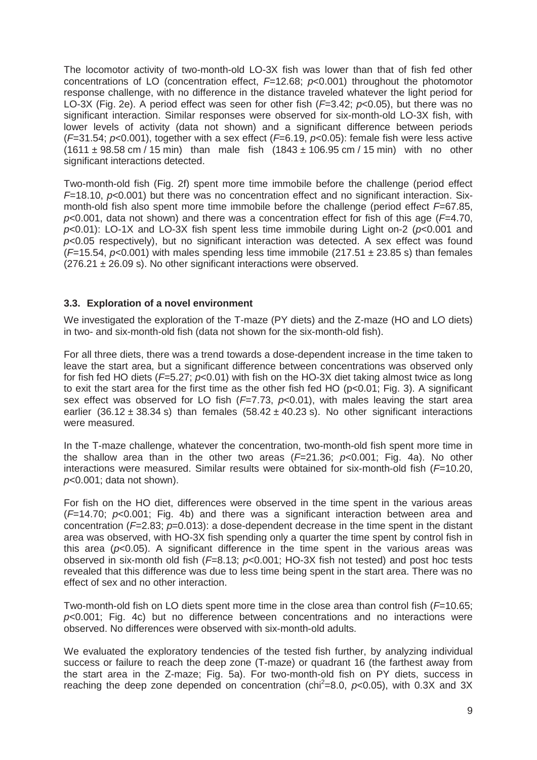The locomotor activity of two-month-old LO-3X fish was lower than that of fish fed other concentrations of LO (concentration effect, *F*=12.68; *p*<0.001) throughout the photomotor response challenge, with no difference in the distance traveled whatever the light period for LO-3X (Fig. 2e). A period effect was seen for other fish (*F*=3.42; *p*<0.05), but there was no significant interaction. Similar responses were observed for six-month-old LO-3X fish, with lower levels of activity (data not shown) and a significant difference between periods (*F*=31.54; *p*<0.001), together with a sex effect (*F*=6.19, *p*<0.05): female fish were less active  $(1611 \pm 98.58 \text{ cm} / 15 \text{ min})$  than male fish  $(1843 \pm 106.95 \text{ cm} / 15 \text{ min})$  with no other significant interactions detected.

Two-month-old fish (Fig. 2f) spent more time immobile before the challenge (period effect *F*=18.10, *p*<0.001) but there was no concentration effect and no significant interaction. Sixmonth-old fish also spent more time immobile before the challenge (period effect *F*=67.85, *p*<0.001, data not shown) and there was a concentration effect for fish of this age (*F*=4.70, *p*<0.01): LO-1X and LO-3X fish spent less time immobile during Light on-2 (*p*<0.001 and *p*<0.05 respectively), but no significant interaction was detected. A sex effect was found  $(F=15.54, p<0.001)$  with males spending less time immobile  $(217.51 \pm 23.85 \text{ s})$  than females  $(276.21 \pm 26.09 \text{ s})$ . No other significant interactions were observed.

#### **3.3. Exploration of a novel environment**

We investigated the exploration of the T-maze (PY diets) and the Z-maze (HO and LO diets) in two- and six-month-old fish (data not shown for the six-month-old fish).

For all three diets, there was a trend towards a dose-dependent increase in the time taken to leave the start area, but a significant difference between concentrations was observed only for fish fed HO diets (*F*=5.27; *p*<0.01) with fish on the HO-3X diet taking almost twice as long to exit the start area for the first time as the other fish fed HO (p<0.01; Fig. 3). A significant sex effect was observed for LO fish (*F*=7.73, *p*<0.01), with males leaving the start area earlier (36.12  $\pm$  38.34 s) than females (58.42  $\pm$  40.23 s). No other significant interactions were measured.

In the T-maze challenge, whatever the concentration, two-month-old fish spent more time in the shallow area than in the other two areas (*F*=21.36; *p*<0.001; Fig. 4a). No other interactions were measured. Similar results were obtained for six-month-old fish (*F*=10.20, *p*<0.001; data not shown).

For fish on the HO diet, differences were observed in the time spent in the various areas (*F*=14.70; *p*<0.001; Fig. 4b) and there was a significant interaction between area and concentration (*F*=2.83; *p*=0.013): a dose-dependent decrease in the time spent in the distant area was observed, with HO-3X fish spending only a quarter the time spent by control fish in this area (*p*<0.05). A significant difference in the time spent in the various areas was observed in six-month old fish (*F*=8.13; *p*<0.001; HO-3X fish not tested) and post hoc tests revealed that this difference was due to less time being spent in the start area. There was no effect of sex and no other interaction.

Two-month-old fish on LO diets spent more time in the close area than control fish (*F*=10.65; *p*<0.001; Fig. 4c) but no difference between concentrations and no interactions were observed. No differences were observed with six-month-old adults.

We evaluated the exploratory tendencies of the tested fish further, by analyzing individual success or failure to reach the deep zone (T-maze) or quadrant 16 (the farthest away from the start area in the Z-maze; Fig. 5a). For two-month-old fish on PY diets, success in reaching the deep zone depended on concentration (chi<sup>2</sup>=8.0,  $p$ <0.05), with 0.3X and 3X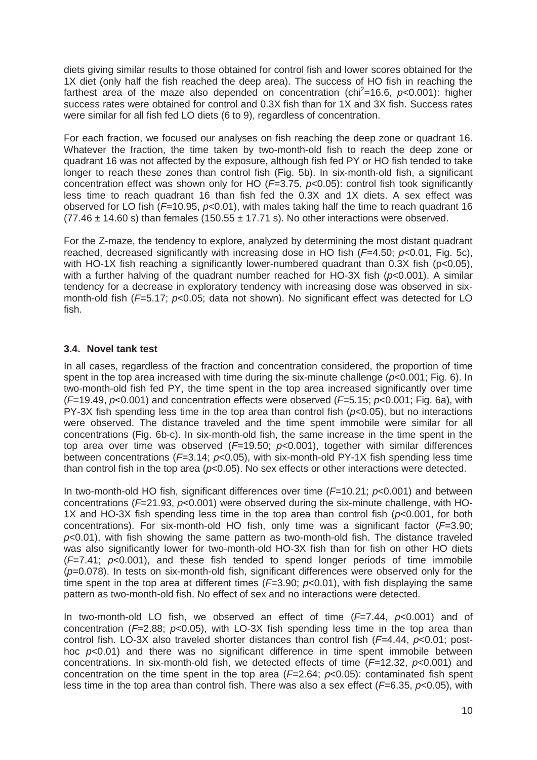diets giving similar results to those obtained for control fish and lower scores obtained for the 1X diet (only half the fish reached the deep area). The success of HO fish in reaching the farthest area of the maze also depended on concentration (chi<sup>2</sup>=16.6,  $p$ <0.001): higher success rates were obtained for control and 0.3X fish than for 1X and 3X fish. Success rates were similar for all fish fed LO diets (6 to 9), regardless of concentration.

For each fraction, we focused our analyses on fish reaching the deep zone or quadrant 16. Whatever the fraction, the time taken by two-month-old fish to reach the deep zone or quadrant 16 was not affected by the exposure, although fish fed PY or HO fish tended to take longer to reach these zones than control fish (Fig. 5b). In six-month-old fish, a significant concentration effect was shown only for HO (*F*=3.75, *p*<0.05): control fish took significantly less time to reach quadrant 16 than fish fed the 0.3X and 1X diets. A sex effect was observed for LO fish (*F*=10.95, *p*<0.01), with males taking half the time to reach quadrant 16  $(77.46 \pm 14.60 \text{ s})$  than females  $(150.55 \pm 17.71 \text{ s})$ . No other interactions were observed.

For the Z-maze, the tendency to explore, analyzed by determining the most distant quadrant reached, decreased significantly with increasing dose in HO fish (*F*=4.50; *p*<0.01, Fig. 5c), with HO-1X fish reaching a significantly lower-numbered quadrant than  $0.3X$  fish ( $p<0.05$ ), with a further halving of the quadrant number reached for HO-3X fish (*p*<0.001). A similar tendency for a decrease in exploratory tendency with increasing dose was observed in sixmonth-old fish ( $F=5.17$ ;  $p<0.05$ ; data not shown). No significant effect was detected for LO fish.

#### **3.4. Novel tank test**

In all cases, regardless of the fraction and concentration considered, the proportion of time spent in the top area increased with time during the six-minute challenge (*p*<0.001; Fig. 6). In two-month-old fish fed PY, the time spent in the top area increased significantly over time (*F*=19.49, *p*<0.001) and concentration effects were observed (*F*=5.15; *p*<0.001; Fig. 6a), with PY-3X fish spending less time in the top area than control fish (*p*<0.05), but no interactions were observed. The distance traveled and the time spent immobile were similar for all concentrations (Fig. 6b-c). In six-month-old fish, the same increase in the time spent in the top area over time was observed (*F*=19.50; *p*<0.001), together with similar differences between concentrations (*F*=3.14; *p*<0.05), with six-month-old PY-1X fish spending less time than control fish in the top area ( $p<0.05$ ). No sex effects or other interactions were detected.

In two-month-old HO fish, significant differences over time ( $F=10.21$ ;  $p<0.001$ ) and between concentrations (*F*=21.93, *p*<0.001) were observed during the six-minute challenge, with HO-1X and HO-3X fish spending less time in the top area than control fish (*p*<0.001, for both concentrations). For six-month-old HO fish, only time was a significant factor (*F*=3.90; *p*<0.01), with fish showing the same pattern as two-month-old fish. The distance traveled was also significantly lower for two-month-old HO-3X fish than for fish on other HO diets (*F*=7.41; *p*<0.001), and these fish tended to spend longer periods of time immobile (*p*=0.078). In tests on six-month-old fish, significant differences were observed only for the time spent in the top area at different times (*F*=3.90; *p*<0.01), with fish displaying the same pattern as two-month-old fish. No effect of sex and no interactions were detected.

In two-month-old LO fish, we observed an effect of time (*F*=7.44, *p*<0.001) and of concentration ( $F=2.88$ ;  $p<0.05$ ), with LO-3X fish spending less time in the top area than control fish. LO-3X also traveled shorter distances than control fish (*F*=4.44, *p*<0.01; posthoc *p*<0.01) and there was no significant difference in time spent immobile between concentrations. In six-month-old fish, we detected effects of time (*F*=12.32, *p*<0.001) and concentration on the time spent in the top area (*F*=2.64; *p*<0.05): contaminated fish spent less time in the top area than control fish. There was also a sex effect (*F*=6.35, *p*<0.05), with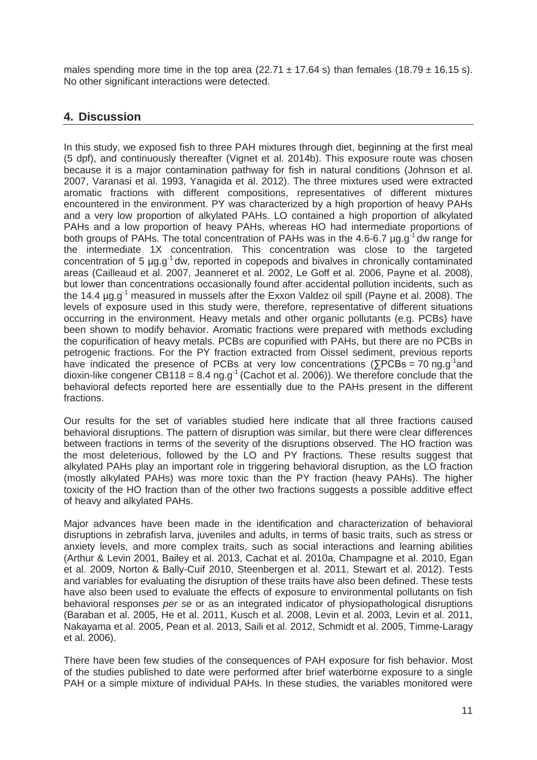males spending more time in the top area (22.71  $\pm$  17.64 s) than females (18.79  $\pm$  16.15 s). No other significant interactions were detected.

# **4. Discussion**

In this study, we exposed fish to three PAH mixtures through diet, beginning at the first meal (5 dpf), and continuously thereafter (Vignet et al. 2014b). This exposure route was chosen because it is a major contamination pathway for fish in natural conditions (Johnson et al. 2007, Varanasi et al. 1993, Yanagida et al. 2012). The three mixtures used were extracted aromatic fractions with different compositions, representatives of different mixtures encountered in the environment. PY was characterized by a high proportion of heavy PAHs and a very low proportion of alkylated PAHs. LO contained a high proportion of alkylated PAHs and a low proportion of heavy PAHs, whereas HO had intermediate proportions of both groups of PAHs. The total concentration of PAHs was in the 4.6-6.7  $\mu$ g.g<sup>-1</sup> dw range for the intermediate 1X concentration. This concentration was close to the targeted concentration of 5 µg.g<sup>-1</sup> dw, reported in copepods and bivalves in chronically contaminated areas (Cailleaud et al. 2007, Jeanneret et al. 2002, Le Goff et al. 2006, Payne et al. 2008), but lower than concentrations occasionally found after accidental pollution incidents, such as the 14.4 ug.g<sup>-1</sup> measured in mussels after the Exxon Valdez oil spill (Payne et al. 2008). The levels of exposure used in this study were, therefore, representative of different situations occurring in the environment. Heavy metals and other organic pollutants (e.g. PCBs) have been shown to modify behavior. Aromatic fractions were prepared with methods excluding the copurification of heavy metals. PCBs are copurified with PAHs, but there are no PCBs in petrogenic fractions. For the PY fraction extracted from Oissel sediment, previous reports have indicated the presence of PCBs at very low concentrations ( $\Sigma$ PCBs = 70 ng.g<sup>-1</sup>and dioxin-like congener CB118 = 8.4 ng.g<sup>-1</sup> (Cachot et al. 2006)). We therefore conclude that the behavioral defects reported here are essentially due to the PAHs present in the different fractions.

Our results for the set of variables studied here indicate that all three fractions caused behavioral disruptions. The pattern of disruption was similar, but there were clear differences between fractions in terms of the severity of the disruptions observed. The HO fraction was the most deleterious, followed by the LO and PY fractions. These results suggest that alkylated PAHs play an important role in triggering behavioral disruption, as the LO fraction (mostly alkylated PAHs) was more toxic than the PY fraction (heavy PAHs). The higher toxicity of the HO fraction than of the other two fractions suggests a possible additive effect of heavy and alkylated PAHs.

Major advances have been made in the identification and characterization of behavioral disruptions in zebrafish larva, juveniles and adults, in terms of basic traits, such as stress or anxiety levels, and more complex traits, such as social interactions and learning abilities (Arthur & Levin 2001, Bailey et al. 2013, Cachat et al. 2010a, Champagne et al. 2010, Egan et al. 2009, Norton & Bally-Cuif 2010, Steenbergen et al. 2011, Stewart et al. 2012). Tests and variables for evaluating the disruption of these traits have also been defined. These tests have also been used to evaluate the effects of exposure to environmental pollutants on fish behavioral responses *per se* or as an integrated indicator of physiopathological disruptions (Baraban et al. 2005, He et al. 2011, Kusch et al. 2008, Levin et al. 2003, Levin et al. 2011, Nakayama et al. 2005, Pean et al. 2013, Saili et al. 2012, Schmidt et al. 2005, Timme-Laragy et al. 2006).

There have been few studies of the consequences of PAH exposure for fish behavior. Most of the studies published to date were performed after brief waterborne exposure to a single PAH or a simple mixture of individual PAHs. In these studies, the variables monitored were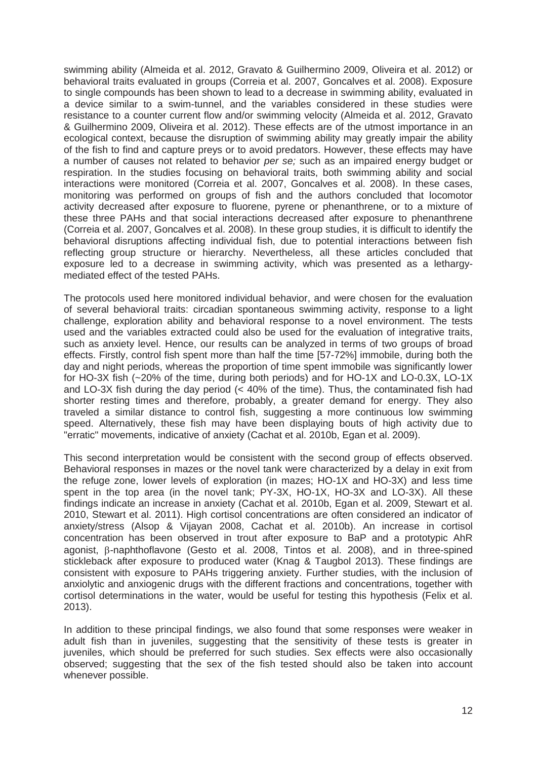swimming ability (Almeida et al. 2012, Gravato & Guilhermino 2009, Oliveira et al. 2012) or behavioral traits evaluated in groups (Correia et al. 2007, Goncalves et al. 2008). Exposure to single compounds has been shown to lead to a decrease in swimming ability, evaluated in a device similar to a swim-tunnel, and the variables considered in these studies were resistance to a counter current flow and/or swimming velocity (Almeida et al. 2012, Gravato & Guilhermino 2009, Oliveira et al. 2012). These effects are of the utmost importance in an ecological context, because the disruption of swimming ability may greatly impair the ability of the fish to find and capture preys or to avoid predators. However, these effects may have a number of causes not related to behavior *per se;* such as an impaired energy budget or respiration. In the studies focusing on behavioral traits, both swimming ability and social interactions were monitored (Correia et al. 2007, Goncalves et al. 2008). In these cases, monitoring was performed on groups of fish and the authors concluded that locomotor activity decreased after exposure to fluorene, pyrene or phenanthrene, or to a mixture of these three PAHs and that social interactions decreased after exposure to phenanthrene (Correia et al. 2007, Goncalves et al. 2008). In these group studies, it is difficult to identify the behavioral disruptions affecting individual fish, due to potential interactions between fish reflecting group structure or hierarchy. Nevertheless, all these articles concluded that exposure led to a decrease in swimming activity, which was presented as a lethargymediated effect of the tested PAHs.

The protocols used here monitored individual behavior, and were chosen for the evaluation of several behavioral traits: circadian spontaneous swimming activity, response to a light challenge, exploration ability and behavioral response to a novel environment. The tests used and the variables extracted could also be used for the evaluation of integrative traits, such as anxiety level. Hence, our results can be analyzed in terms of two groups of broad effects. Firstly, control fish spent more than half the time [57-72%] immobile, during both the day and night periods, whereas the proportion of time spent immobile was significantly lower for HO-3X fish (~20% of the time, during both periods) and for HO-1X and LO-0.3X, LO-1X and LO-3X fish during the day period (< 40% of the time). Thus, the contaminated fish had shorter resting times and therefore, probably, a greater demand for energy. They also traveled a similar distance to control fish, suggesting a more continuous low swimming speed. Alternatively, these fish may have been displaying bouts of high activity due to "erratic" movements, indicative of anxiety (Cachat et al. 2010b, Egan et al. 2009).

This second interpretation would be consistent with the second group of effects observed. Behavioral responses in mazes or the novel tank were characterized by a delay in exit from the refuge zone, lower levels of exploration (in mazes; HO-1X and HO-3X) and less time spent in the top area (in the novel tank; PY-3X, HO-1X, HO-3X and LO-3X). All these findings indicate an increase in anxiety (Cachat et al. 2010b, Egan et al. 2009, Stewart et al. 2010, Stewart et al. 2011). High cortisol concentrations are often considered an indicator of anxiety/stress (Alsop & Vijayan 2008, Cachat et al. 2010b). An increase in cortisol concentration has been observed in trout after exposure to BaP and a prototypic AhR  $a$ gonist,  $\beta$ -naphthoflavone (Gesto et al. 2008, Tintos et al. 2008), and in three-spined stickleback after exposure to produced water (Knag & Taugbol 2013). These findings are consistent with exposure to PAHs triggering anxiety. Further studies, with the inclusion of anxiolytic and anxiogenic drugs with the different fractions and concentrations, together with cortisol determinations in the water, would be useful for testing this hypothesis (Felix et al. 2013).

In addition to these principal findings, we also found that some responses were weaker in adult fish than in juveniles, suggesting that the sensitivity of these tests is greater in juveniles, which should be preferred for such studies. Sex effects were also occasionally observed; suggesting that the sex of the fish tested should also be taken into account whenever possible.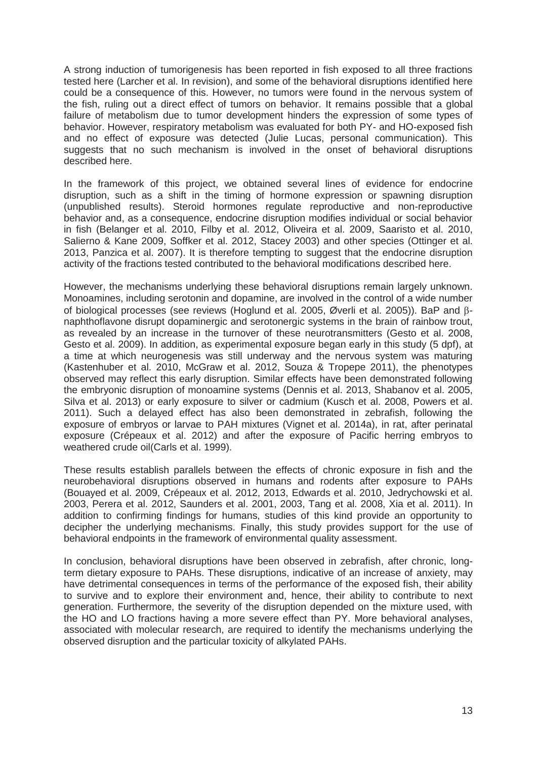A strong induction of tumorigenesis has been reported in fish exposed to all three fractions tested here (Larcher et al. In revision), and some of the behavioral disruptions identified here could be a consequence of this. However, no tumors were found in the nervous system of the fish, ruling out a direct effect of tumors on behavior. It remains possible that a global failure of metabolism due to tumor development hinders the expression of some types of behavior. However, respiratory metabolism was evaluated for both PY- and HO-exposed fish and no effect of exposure was detected (Julie Lucas, personal communication). This suggests that no such mechanism is involved in the onset of behavioral disruptions described here.

In the framework of this project, we obtained several lines of evidence for endocrine disruption, such as a shift in the timing of hormone expression or spawning disruption (unpublished results). Steroid hormones regulate reproductive and non-reproductive behavior and, as a consequence, endocrine disruption modifies individual or social behavior in fish (Belanger et al. 2010, Filby et al. 2012, Oliveira et al. 2009, Saaristo et al. 2010, Salierno & Kane 2009, Soffker et al. 2012, Stacey 2003) and other species (Ottinger et al. 2013, Panzica et al. 2007). It is therefore tempting to suggest that the endocrine disruption activity of the fractions tested contributed to the behavioral modifications described here.

However, the mechanisms underlying these behavioral disruptions remain largely unknown. Monoamines, including serotonin and dopamine, are involved in the control of a wide number of biological processes (see reviews (Hoglund et al. 2005, Øverli et al. 2005)). BaP and  $\beta$ naphthoflavone disrupt dopaminergic and serotonergic systems in the brain of rainbow trout, as revealed by an increase in the turnover of these neurotransmitters (Gesto et al. 2008, Gesto et al. 2009). In addition, as experimental exposure began early in this study (5 dpf), at a time at which neurogenesis was still underway and the nervous system was maturing (Kastenhuber et al. 2010, McGraw et al. 2012, Souza & Tropepe 2011), the phenotypes observed may reflect this early disruption. Similar effects have been demonstrated following the embryonic disruption of monoamine systems (Dennis et al. 2013, Shabanov et al. 2005, Silva et al. 2013) or early exposure to silver or cadmium (Kusch et al. 2008, Powers et al. 2011). Such a delayed effect has also been demonstrated in zebrafish, following the exposure of embryos or larvae to PAH mixtures (Vignet et al. 2014a), in rat, after perinatal exposure (Crépeaux et al. 2012) and after the exposure of Pacific herring embryos to weathered crude oil(Carls et al. 1999).

These results establish parallels between the effects of chronic exposure in fish and the neurobehavioral disruptions observed in humans and rodents after exposure to PAHs (Bouayed et al. 2009, Crépeaux et al. 2012, 2013, Edwards et al. 2010, Jedrychowski et al. 2003, Perera et al. 2012, Saunders et al. 2001, 2003, Tang et al. 2008, Xia et al. 2011). In addition to confirming findings for humans, studies of this kind provide an opportunity to decipher the underlying mechanisms. Finally, this study provides support for the use of behavioral endpoints in the framework of environmental quality assessment.

In conclusion, behavioral disruptions have been observed in zebrafish, after chronic, longterm dietary exposure to PAHs. These disruptions, indicative of an increase of anxiety, may have detrimental consequences in terms of the performance of the exposed fish, their ability to survive and to explore their environment and, hence, their ability to contribute to next generation. Furthermore, the severity of the disruption depended on the mixture used, with the HO and LO fractions having a more severe effect than PY. More behavioral analyses, associated with molecular research, are required to identify the mechanisms underlying the observed disruption and the particular toxicity of alkylated PAHs.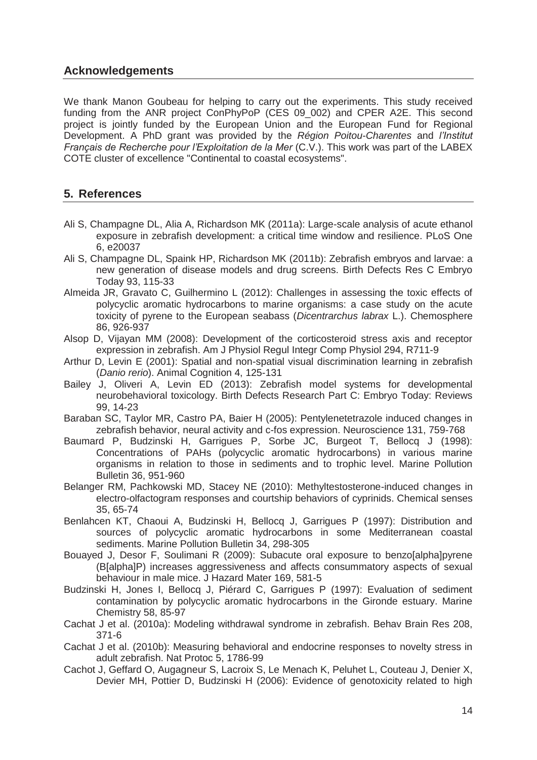# **Acknowledgements**

We thank Manon Goubeau for helping to carry out the experiments. This study received funding from the ANR project ConPhyPoP (CES 09\_002) and CPER A2E. This second project is jointly funded by the European Union and the European Fund for Regional Development. A PhD grant was provided by the *Région Poitou-Charentes* and *l'Institut Français de Recherche pour l'Exploitation de la Mer* (C.V.). This work was part of the LABEX COTE cluster of excellence "Continental to coastal ecosystems".

# **5. References**

- Ali S, Champagne DL, Alia A, Richardson MK (2011a): Large-scale analysis of acute ethanol exposure in zebrafish development: a critical time window and resilience. PLoS One 6, e20037
- Ali S, Champagne DL, Spaink HP, Richardson MK (2011b): Zebrafish embryos and larvae: a new generation of disease models and drug screens. Birth Defects Res C Embryo Today 93, 115-33
- Almeida JR, Gravato C, Guilhermino L (2012): Challenges in assessing the toxic effects of polycyclic aromatic hydrocarbons to marine organisms: a case study on the acute toxicity of pyrene to the European seabass (*Dicentrarchus labrax* L.). Chemosphere 86, 926-937
- Alsop D, Vijayan MM (2008): Development of the corticosteroid stress axis and receptor expression in zebrafish. Am J Physiol Regul Integr Comp Physiol 294, R711-9
- Arthur D, Levin E (2001): Spatial and non-spatial visual discrimination learning in zebrafish (*Danio rerio*). Animal Cognition 4, 125-131
- Bailey J, Oliveri A, Levin ED (2013): Zebrafish model systems for developmental neurobehavioral toxicology. Birth Defects Research Part C: Embryo Today: Reviews 99, 14-23
- Baraban SC, Taylor MR, Castro PA, Baier H (2005): Pentylenetetrazole induced changes in zebrafish behavior, neural activity and c-fos expression. Neuroscience 131, 759-768
- Baumard P, Budzinski H, Garrigues P, Sorbe JC, Burgeot T, Bellocq J (1998): Concentrations of PAHs (polycyclic aromatic hydrocarbons) in various marine organisms in relation to those in sediments and to trophic level. Marine Pollution Bulletin 36, 951-960
- Belanger RM, Pachkowski MD, Stacey NE (2010): Methyltestosterone-induced changes in electro-olfactogram responses and courtship behaviors of cyprinids. Chemical senses 35, 65-74
- Benlahcen KT, Chaoui A, Budzinski H, Bellocq J, Garrigues P (1997): Distribution and sources of polycyclic aromatic hydrocarbons in some Mediterranean coastal sediments. Marine Pollution Bulletin 34, 298-305
- Bouayed J, Desor F, Soulimani R (2009): Subacute oral exposure to benzo[alpha]pyrene (B[alpha]P) increases aggressiveness and affects consummatory aspects of sexual behaviour in male mice. J Hazard Mater 169, 581-5
- Budzinski H, Jones I, Bellocq J, Piérard C, Garrigues P (1997): Evaluation of sediment contamination by polycyclic aromatic hydrocarbons in the Gironde estuary. Marine Chemistry 58, 85-97
- Cachat J et al. (2010a): Modeling withdrawal syndrome in zebrafish. Behav Brain Res 208, 371-6
- Cachat J et al. (2010b): Measuring behavioral and endocrine responses to novelty stress in adult zebrafish. Nat Protoc 5, 1786-99
- Cachot J, Geffard O, Augagneur S, Lacroix S, Le Menach K, Peluhet L, Couteau J, Denier X, Devier MH, Pottier D, Budzinski H (2006): Evidence of genotoxicity related to high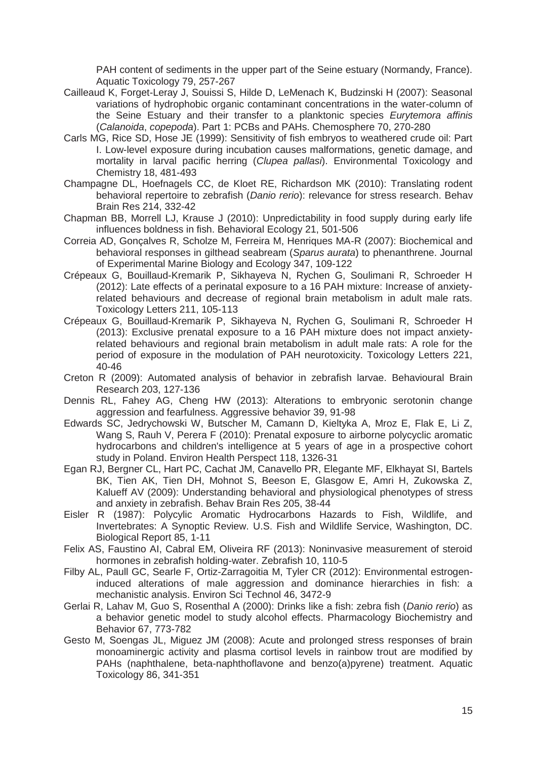PAH content of sediments in the upper part of the Seine estuary (Normandy, France). Aquatic Toxicology 79, 257-267

- Cailleaud K, Forget-Leray J, Souissi S, Hilde D, LeMenach K, Budzinski H (2007): Seasonal variations of hydrophobic organic contaminant concentrations in the water-column of the Seine Estuary and their transfer to a planktonic species *Eurytemora affinis*  (*Calanoida*, *copepoda*). Part 1: PCBs and PAHs. Chemosphere 70, 270-280
- Carls MG, Rice SD, Hose JE (1999): Sensitivity of fish embryos to weathered crude oil: Part I. Low-level exposure during incubation causes malformations, genetic damage, and mortality in larval pacific herring (*Clupea pallasi*). Environmental Toxicology and Chemistry 18, 481-493
- Champagne DL, Hoefnagels CC, de Kloet RE, Richardson MK (2010): Translating rodent behavioral repertoire to zebrafish (*Danio rerio*): relevance for stress research. Behav Brain Res 214, 332-42
- Chapman BB, Morrell LJ, Krause J (2010): Unpredictability in food supply during early life influences boldness in fish. Behavioral Ecology 21, 501-506
- Correia AD, Gonçalves R, Scholze M, Ferreira M, Henriques MA-R (2007): Biochemical and behavioral responses in gilthead seabream (*Sparus aurata*) to phenanthrene. Journal of Experimental Marine Biology and Ecology 347, 109-122
- Crépeaux G, Bouillaud-Kremarik P, Sikhayeva N, Rychen G, Soulimani R, Schroeder H (2012): Late effects of a perinatal exposure to a 16 PAH mixture: Increase of anxietyrelated behaviours and decrease of regional brain metabolism in adult male rats. Toxicology Letters 211, 105-113
- Crépeaux G, Bouillaud-Kremarik P, Sikhayeva N, Rychen G, Soulimani R, Schroeder H (2013): Exclusive prenatal exposure to a 16 PAH mixture does not impact anxietyrelated behaviours and regional brain metabolism in adult male rats: A role for the period of exposure in the modulation of PAH neurotoxicity. Toxicology Letters 221, 40-46
- Creton R (2009): Automated analysis of behavior in zebrafish larvae. Behavioural Brain Research 203, 127-136
- Dennis RL, Fahey AG, Cheng HW (2013): Alterations to embryonic serotonin change aggression and fearfulness. Aggressive behavior 39, 91-98
- Edwards SC, Jedrychowski W, Butscher M, Camann D, Kieltyka A, Mroz E, Flak E, Li Z, Wang S, Rauh V, Perera F (2010): Prenatal exposure to airborne polycyclic aromatic hydrocarbons and children's intelligence at 5 years of age in a prospective cohort study in Poland. Environ Health Perspect 118, 1326-31
- Egan RJ, Bergner CL, Hart PC, Cachat JM, Canavello PR, Elegante MF, Elkhayat SI, Bartels BK, Tien AK, Tien DH, Mohnot S, Beeson E, Glasgow E, Amri H, Zukowska Z, Kalueff AV (2009): Understanding behavioral and physiological phenotypes of stress and anxiety in zebrafish. Behav Brain Res 205, 38-44
- Eisler R (1987): Polycylic Aromatic Hydrocarbons Hazards to Fish, Wildlife, and Invertebrates: A Synoptic Review. U.S. Fish and Wildlife Service, Washington, DC. Biological Report 85, 1-11
- Felix AS, Faustino AI, Cabral EM, Oliveira RF (2013): Noninvasive measurement of steroid hormones in zebrafish holding-water. Zebrafish 10, 110-5
- Filby AL, Paull GC, Searle F, Ortiz-Zarragoitia M, Tyler CR (2012): Environmental estrogeninduced alterations of male aggression and dominance hierarchies in fish: a mechanistic analysis. Environ Sci Technol 46, 3472-9
- Gerlai R, Lahav M, Guo S, Rosenthal A (2000): Drinks like a fish: zebra fish (*Danio rerio*) as a behavior genetic model to study alcohol effects. Pharmacology Biochemistry and Behavior 67, 773-782
- Gesto M, Soengas JL, Miguez JM (2008): Acute and prolonged stress responses of brain monoaminergic activity and plasma cortisol levels in rainbow trout are modified by PAHs (naphthalene, beta-naphthoflavone and benzo(a)pyrene) treatment. Aquatic Toxicology 86, 341-351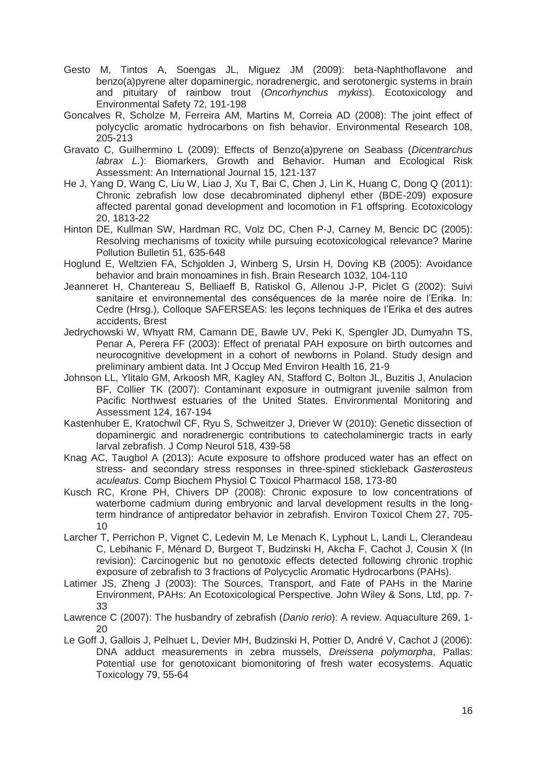- Gesto M, Tintos A, Soengas JL, Miguez JM (2009): beta-Naphthoflavone and benzo(a)pyrene alter dopaminergic, noradrenergic, and serotonergic systems in brain and pituitary of rainbow trout (*Oncorhynchus mykiss*). Ecotoxicology and Environmental Safety 72, 191-198
- Goncalves R, Scholze M, Ferreira AM, Martins M, Correia AD (2008): The joint effect of polycyclic aromatic hydrocarbons on fish behavior. Environmental Research 108, 205-213
- Gravato C, Guilhermino L (2009): Effects of Benzo(a)pyrene on Seabass (*Dicentrarchus labrax L.*): Biomarkers, Growth and Behavior. Human and Ecological Risk Assessment: An International Journal 15, 121-137
- He J, Yang D, Wang C, Liu W, Liao J, Xu T, Bai C, Chen J, Lin K, Huang C, Dong Q (2011): Chronic zebrafish low dose decabrominated diphenyl ether (BDE-209) exposure affected parental gonad development and locomotion in F1 offspring. Ecotoxicology 20, 1813-22
- Hinton DE, Kullman SW, Hardman RC, Volz DC, Chen P-J, Carney M, Bencic DC (2005): Resolving mechanisms of toxicity while pursuing ecotoxicological relevance? Marine Pollution Bulletin 51, 635-648
- Hoglund E, Weltzien FA, Schjolden J, Winberg S, Ursin H, Doving KB (2005): Avoidance behavior and brain monoamines in fish. Brain Research 1032, 104-110
- Jeanneret H, Chantereau S, Belliaeff B, Ratiskol G, Allenou J-P, Piclet G (2002): Suivi sanitaire et environnemental des conséquences de la marée noire de l'Erika. In: Cedre (Hrsg.), Colloque SAFERSEAS: les leçons techniques de l'Erika et des autres accidents, Brest
- Jedrychowski W, Whyatt RM, Camann DE, Bawle UV, Peki K, Spengler JD, Dumyahn TS, Penar A, Perera FF (2003): Effect of prenatal PAH exposure on birth outcomes and neurocognitive development in a cohort of newborns in Poland. Study design and preliminary ambient data. Int J Occup Med Environ Health 16, 21-9
- Johnson LL, Ylitalo GM, Arkoosh MR, Kagley AN, Stafford C, Bolton JL, Buzitis J, Anulacion BF, Collier TK (2007): Contaminant exposure in outmigrant juvenile salmon from Pacific Northwest estuaries of the United States. Environmental Monitoring and Assessment 124, 167-194
- Kastenhuber E, Kratochwil CF, Ryu S, Schweitzer J, Driever W (2010): Genetic dissection of dopaminergic and noradrenergic contributions to catecholaminergic tracts in early larval zebrafish. J Comp Neurol 518, 439-58
- Knag AC, Taugbol A (2013): Acute exposure to offshore produced water has an effect on stress- and secondary stress responses in three-spined stickleback *Gasterosteus aculeatus*. Comp Biochem Physiol C Toxicol Pharmacol 158, 173-80
- Kusch RC, Krone PH, Chivers DP (2008): Chronic exposure to low concentrations of waterborne cadmium during embryonic and larval development results in the longterm hindrance of antipredator behavior in zebrafish. Environ Toxicol Chem 27, 705- 10
- Larcher T, Perrichon P, Vignet C, Ledevin M, Le Menach K, Lyphout L, Landi L, Clerandeau C, Lebihanic F, Ménard D, Burgeot T, Budzinski H, Akcha F, Cachot J, Cousin X (In revision): Carcinogenic but no genotoxic effects detected following chronic trophic exposure of zebrafish to 3 fractions of Polycyclic Aromatic Hydrocarbons (PAHs).
- Latimer JS, Zheng J (2003): The Sources, Transport, and Fate of PAHs in the Marine Environment, PAHs: An Ecotoxicological Perspective. John Wiley & Sons, Ltd, pp. 7- 33
- Lawrence C (2007): The husbandry of zebrafish (*Danio rerio*): A review. Aquaculture 269, 1-  $20$
- Le Goff J, Gallois J, Pelhuet L, Devier MH, Budzinski H, Pottier D, André V, Cachot J (2006): DNA adduct measurements in zebra mussels, *Dreissena polymorpha*, Pallas: Potential use for genotoxicant biomonitoring of fresh water ecosystems. Aquatic Toxicology 79, 55-64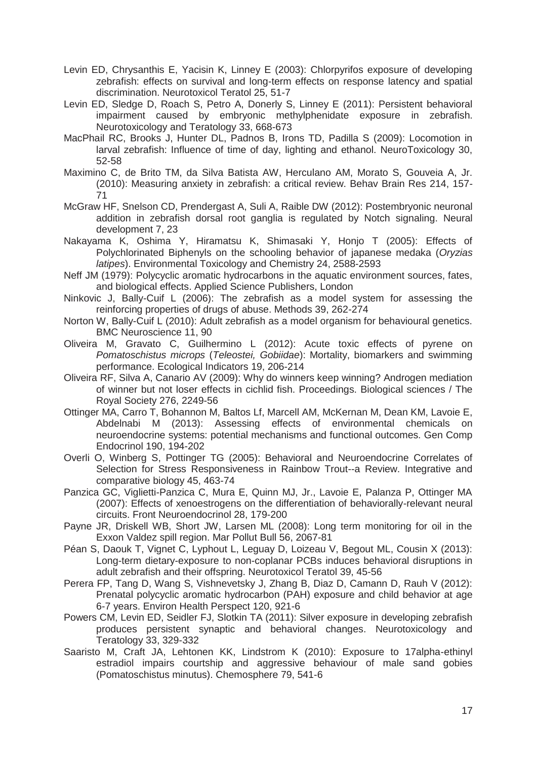- Levin ED, Chrysanthis E, Yacisin K, Linney E (2003): Chlorpyrifos exposure of developing zebrafish: effects on survival and long-term effects on response latency and spatial discrimination. Neurotoxicol Teratol 25, 51-7
- Levin ED, Sledge D, Roach S, Petro A, Donerly S, Linney E (2011): Persistent behavioral impairment caused by embryonic methylphenidate exposure in zebrafish. Neurotoxicology and Teratology 33, 668-673
- MacPhail RC, Brooks J, Hunter DL, Padnos B, Irons TD, Padilla S (2009): Locomotion in larval zebrafish: Influence of time of day, lighting and ethanol. NeuroToxicology 30, 52-58
- Maximino C, de Brito TM, da Silva Batista AW, Herculano AM, Morato S, Gouveia A, Jr. (2010): Measuring anxiety in zebrafish: a critical review. Behav Brain Res 214, 157- 71
- McGraw HF, Snelson CD, Prendergast A, Suli A, Raible DW (2012): Postembryonic neuronal addition in zebrafish dorsal root ganglia is regulated by Notch signaling. Neural development 7, 23
- Nakayama K, Oshima Y, Hiramatsu K, Shimasaki Y, Honjo T (2005): Effects of Polychlorinated Biphenyls on the schooling behavior of japanese medaka (*Oryzias latipes*). Environmental Toxicology and Chemistry 24, 2588-2593
- Neff JM (1979): Polycyclic aromatic hydrocarbons in the aquatic environment sources, fates, and biological effects. Applied Science Publishers, London
- Ninkovic J, Bally-Cuif L (2006): The zebrafish as a model system for assessing the reinforcing properties of drugs of abuse. Methods 39, 262-274
- Norton W, Bally-Cuif L (2010): Adult zebrafish as a model organism for behavioural genetics. BMC Neuroscience 11, 90
- Oliveira M, Gravato C, Guilhermino L (2012): Acute toxic effects of pyrene on *Pomatoschistus microps* (*Teleostei, Gobiidae*): Mortality, biomarkers and swimming performance. Ecological Indicators 19, 206-214
- Oliveira RF, Silva A, Canario AV (2009): Why do winners keep winning? Androgen mediation of winner but not loser effects in cichlid fish. Proceedings. Biological sciences / The Royal Society 276, 2249-56
- Ottinger MA, Carro T, Bohannon M, Baltos Lf, Marcell AM, McKernan M, Dean KM, Lavoie E, Abdelnabi M (2013): Assessing effects of environmental chemicals on neuroendocrine systems: potential mechanisms and functional outcomes. Gen Comp Endocrinol 190, 194-202
- Overli O, Winberg S, Pottinger TG (2005): Behavioral and Neuroendocrine Correlates of Selection for Stress Responsiveness in Rainbow Trout--a Review. Integrative and comparative biology 45, 463-74
- Panzica GC, Viglietti-Panzica C, Mura E, Quinn MJ, Jr., Lavoie E, Palanza P, Ottinger MA (2007): Effects of xenoestrogens on the differentiation of behaviorally-relevant neural circuits. Front Neuroendocrinol 28, 179-200
- Payne JR, Driskell WB, Short JW, Larsen ML (2008): Long term monitoring for oil in the Exxon Valdez spill region. Mar Pollut Bull 56, 2067-81
- Péan S, Daouk T, Vignet C, Lyphout L, Leguay D, Loizeau V, Begout ML, Cousin X (2013): Long-term dietary-exposure to non-coplanar PCBs induces behavioral disruptions in adult zebrafish and their offspring. Neurotoxicol Teratol 39, 45-56
- Perera FP, Tang D, Wang S, Vishnevetsky J, Zhang B, Diaz D, Camann D, Rauh V (2012): Prenatal polycyclic aromatic hydrocarbon (PAH) exposure and child behavior at age 6-7 years. Environ Health Perspect 120, 921-6
- Powers CM, Levin ED, Seidler FJ, Slotkin TA (2011): Silver exposure in developing zebrafish produces persistent synaptic and behavioral changes. Neurotoxicology and Teratology 33, 329-332
- Saaristo M, Craft JA, Lehtonen KK, Lindstrom K (2010): Exposure to 17alpha-ethinyl estradiol impairs courtship and aggressive behaviour of male sand gobies (Pomatoschistus minutus). Chemosphere 79, 541-6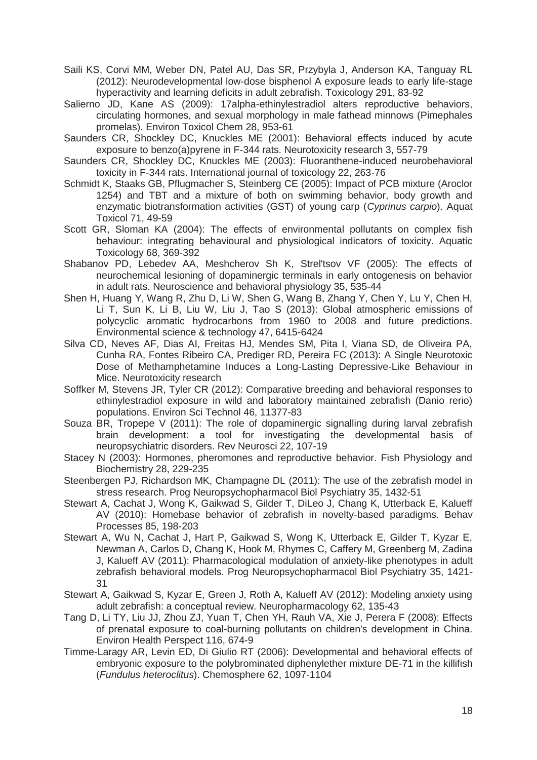- Saili KS, Corvi MM, Weber DN, Patel AU, Das SR, Przybyla J, Anderson KA, Tanguay RL (2012): Neurodevelopmental low-dose bisphenol A exposure leads to early life-stage hyperactivity and learning deficits in adult zebrafish. Toxicology 291, 83-92
- Salierno JD, Kane AS (2009): 17alpha-ethinylestradiol alters reproductive behaviors, circulating hormones, and sexual morphology in male fathead minnows (Pimephales promelas). Environ Toxicol Chem 28, 953-61
- Saunders CR, Shockley DC, Knuckles ME (2001): Behavioral effects induced by acute exposure to benzo(a)pyrene in F-344 rats. Neurotoxicity research 3, 557-79
- Saunders CR, Shockley DC, Knuckles ME (2003): Fluoranthene-induced neurobehavioral toxicity in F-344 rats. International journal of toxicology 22, 263-76
- Schmidt K, Staaks GB, Pflugmacher S, Steinberg CE (2005): Impact of PCB mixture (Aroclor 1254) and TBT and a mixture of both on swimming behavior, body growth and enzymatic biotransformation activities (GST) of young carp (*Cyprinus carpio*). Aquat Toxicol 71, 49-59
- Scott GR, Sloman KA (2004): The effects of environmental pollutants on complex fish behaviour: integrating behavioural and physiological indicators of toxicity. Aquatic Toxicology 68, 369-392
- Shabanov PD, Lebedev AA, Meshcherov Sh K, Strel'tsov VF (2005): The effects of neurochemical lesioning of dopaminergic terminals in early ontogenesis on behavior in adult rats. Neuroscience and behavioral physiology 35, 535-44
- Shen H, Huang Y, Wang R, Zhu D, Li W, Shen G, Wang B, Zhang Y, Chen Y, Lu Y, Chen H, Li T, Sun K, Li B, Liu W, Liu J, Tao S (2013): Global atmospheric emissions of polycyclic aromatic hydrocarbons from 1960 to 2008 and future predictions. Environmental science & technology 47, 6415-6424
- Silva CD, Neves AF, Dias AI, Freitas HJ, Mendes SM, Pita I, Viana SD, de Oliveira PA, Cunha RA, Fontes Ribeiro CA, Prediger RD, Pereira FC (2013): A Single Neurotoxic Dose of Methamphetamine Induces a Long-Lasting Depressive-Like Behaviour in Mice. Neurotoxicity research
- Soffker M, Stevens JR, Tyler CR (2012): Comparative breeding and behavioral responses to ethinylestradiol exposure in wild and laboratory maintained zebrafish (Danio rerio) populations. Environ Sci Technol 46, 11377-83
- Souza BR, Tropepe V (2011): The role of dopaminergic signalling during larval zebrafish brain development: a tool for investigating the developmental basis of neuropsychiatric disorders. Rev Neurosci 22, 107-19
- Stacey N (2003): Hormones, pheromones and reproductive behavior. Fish Physiology and Biochemistry 28, 229-235
- Steenbergen PJ, Richardson MK, Champagne DL (2011): The use of the zebrafish model in stress research. Prog Neuropsychopharmacol Biol Psychiatry 35, 1432-51
- Stewart A, Cachat J, Wong K, Gaikwad S, Gilder T, DiLeo J, Chang K, Utterback E, Kalueff AV (2010): Homebase behavior of zebrafish in novelty-based paradigms. Behav Processes 85, 198-203
- Stewart A, Wu N, Cachat J, Hart P, Gaikwad S, Wong K, Utterback E, Gilder T, Kyzar E, Newman A, Carlos D, Chang K, Hook M, Rhymes C, Caffery M, Greenberg M, Zadina J, Kalueff AV (2011): Pharmacological modulation of anxiety-like phenotypes in adult zebrafish behavioral models. Prog Neuropsychopharmacol Biol Psychiatry 35, 1421- 31
- Stewart A, Gaikwad S, Kyzar E, Green J, Roth A, Kalueff AV (2012): Modeling anxiety using adult zebrafish: a conceptual review. Neuropharmacology 62, 135-43
- Tang D, Li TY, Liu JJ, Zhou ZJ, Yuan T, Chen YH, Rauh VA, Xie J, Perera F (2008): Effects of prenatal exposure to coal-burning pollutants on children's development in China. Environ Health Perspect 116, 674-9
- Timme-Laragy AR, Levin ED, Di Giulio RT (2006): Developmental and behavioral effects of embryonic exposure to the polybrominated diphenylether mixture DE-71 in the killifish (*Fundulus heteroclitus*). Chemosphere 62, 1097-1104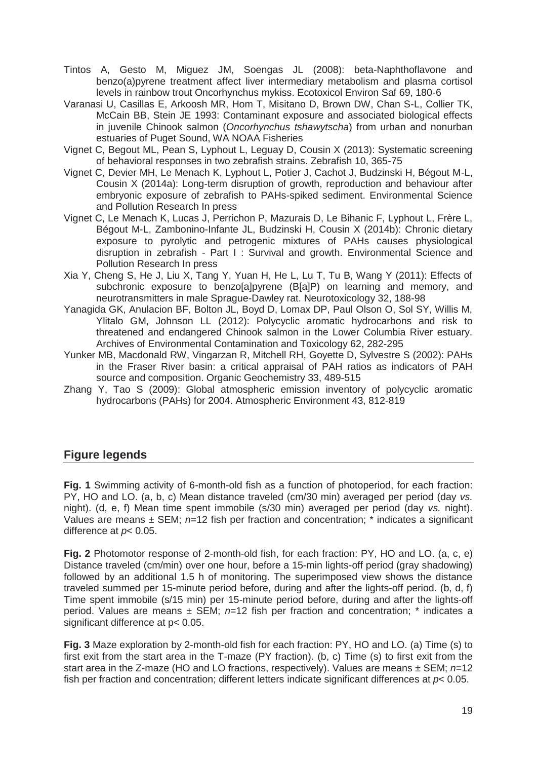- Tintos A, Gesto M, Miguez JM, Soengas JL (2008): beta-Naphthoflavone and benzo(a)pyrene treatment affect liver intermediary metabolism and plasma cortisol levels in rainbow trout Oncorhynchus mykiss. Ecotoxicol Environ Saf 69, 180-6
- Varanasi U, Casillas E, Arkoosh MR, Hom T, Misitano D, Brown DW, Chan S-L, Collier TK, McCain BB, Stein JE 1993: Contaminant exposure and associated biological effects in juvenile Chinook salmon (*Oncorhynchus tshawytscha*) from urban and nonurban estuaries of Puget Sound, WA NOAA Fisheries
- Vignet C, Begout ML, Pean S, Lyphout L, Leguay D, Cousin X (2013): Systematic screening of behavioral responses in two zebrafish strains. Zebrafish 10, 365-75
- Vignet C, Devier MH, Le Menach K, Lyphout L, Potier J, Cachot J, Budzinski H, Bégout M-L, Cousin X (2014a): Long-term disruption of growth, reproduction and behaviour after embryonic exposure of zebrafish to PAHs-spiked sediment. Environmental Science and Pollution Research In press
- Vignet C, Le Menach K, Lucas J, Perrichon P, Mazurais D, Le Bihanic F, Lyphout L, Frère L, Bégout M-L, Zambonino-Infante JL, Budzinski H, Cousin X (2014b): Chronic dietary exposure to pyrolytic and petrogenic mixtures of PAHs causes physiological disruption in zebrafish - Part I : Survival and growth. Environmental Science and Pollution Research In press
- Xia Y, Cheng S, He J, Liu X, Tang Y, Yuan H, He L, Lu T, Tu B, Wang Y (2011): Effects of subchronic exposure to benzo[a]pyrene (B[a]P) on learning and memory, and neurotransmitters in male Sprague-Dawley rat. Neurotoxicology 32, 188-98
- Yanagida GK, Anulacion BF, Bolton JL, Boyd D, Lomax DP, Paul Olson O, Sol SY, Willis M, Ylitalo GM, Johnson LL (2012): Polycyclic aromatic hydrocarbons and risk to threatened and endangered Chinook salmon in the Lower Columbia River estuary. Archives of Environmental Contamination and Toxicology 62, 282-295
- Yunker MB, Macdonald RW, Vingarzan R, Mitchell RH, Goyette D, Sylvestre S (2002): PAHs in the Fraser River basin: a critical appraisal of PAH ratios as indicators of PAH source and composition. Organic Geochemistry 33, 489-515
- Zhang Y, Tao S (2009): Global atmospheric emission inventory of polycyclic aromatic hydrocarbons (PAHs) for 2004. Atmospheric Environment 43, 812-819

# **Figure legends**

**Fig. 1** Swimming activity of 6-month-old fish as a function of photoperiod, for each fraction: PY, HO and LO. (a, b, c) Mean distance traveled (cm/30 min) averaged per period (day *vs.* night). (d, e, f) Mean time spent immobile (s/30 min) averaged per period (day *vs.* night). Values are means ± SEM; *n*=12 fish per fraction and concentration; \* indicates a significant difference at *p*< 0.05.

**Fig. 2** Photomotor response of 2-month-old fish, for each fraction: PY, HO and LO. (a, c, e) Distance traveled (cm/min) over one hour, before a 15-min lights-off period (gray shadowing) followed by an additional 1.5 h of monitoring. The superimposed view shows the distance traveled summed per 15-minute period before, during and after the lights-off period. (b, d, f) Time spent immobile (s/15 min) per 15-minute period before, during and after the lights-off period. Values are means ± SEM; *n*=12 fish per fraction and concentration; \* indicates a significant difference at p< 0.05.

**Fig. 3** Maze exploration by 2-month-old fish for each fraction: PY, HO and LO. (a) Time (s) to first exit from the start area in the T-maze (PY fraction). (b, c) Time (s) to first exit from the start area in the Z-maze (HO and LO fractions, respectively). Values are means ± SEM; *n*=12 fish per fraction and concentration; different letters indicate significant differences at *p*< 0.05.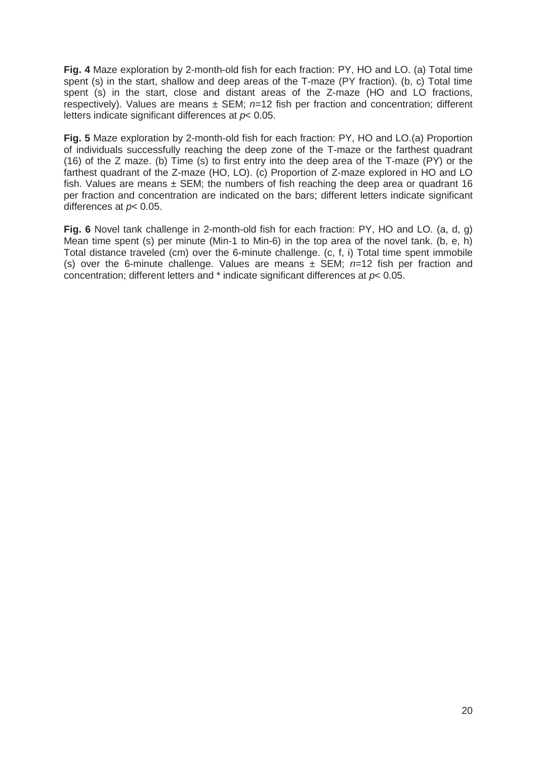**Fig. 4** Maze exploration by 2-month-old fish for each fraction: PY, HO and LO. (a) Total time spent (s) in the start, shallow and deep areas of the T-maze (PY fraction). (b, c) Total time spent (s) in the start, close and distant areas of the Z-maze (HO and LO fractions, respectively). Values are means ± SEM; *n*=12 fish per fraction and concentration; different letters indicate significant differences at *p*< 0.05.

**Fig. 5** Maze exploration by 2-month-old fish for each fraction: PY, HO and LO.(a) Proportion of individuals successfully reaching the deep zone of the T-maze or the farthest quadrant (16) of the Z maze. (b) Time (s) to first entry into the deep area of the T-maze (PY) or the farthest quadrant of the Z-maze (HO, LO). (c) Proportion of Z-maze explored in HO and LO fish. Values are means  $\pm$  SEM; the numbers of fish reaching the deep area or quadrant 16 per fraction and concentration are indicated on the bars; different letters indicate significant differences at *p*< 0.05.

**Fig. 6** Novel tank challenge in 2-month-old fish for each fraction: PY, HO and LO. (a, d, g) Mean time spent (s) per minute (Min-1 to Min-6) in the top area of the novel tank. (b, e, h) Total distance traveled (cm) over the 6-minute challenge. (c, f, i) Total time spent immobile (s) over the 6-minute challenge. Values are means ± SEM; *n*=12 fish per fraction and concentration; different letters and \* indicate significant differences at *p*< 0.05.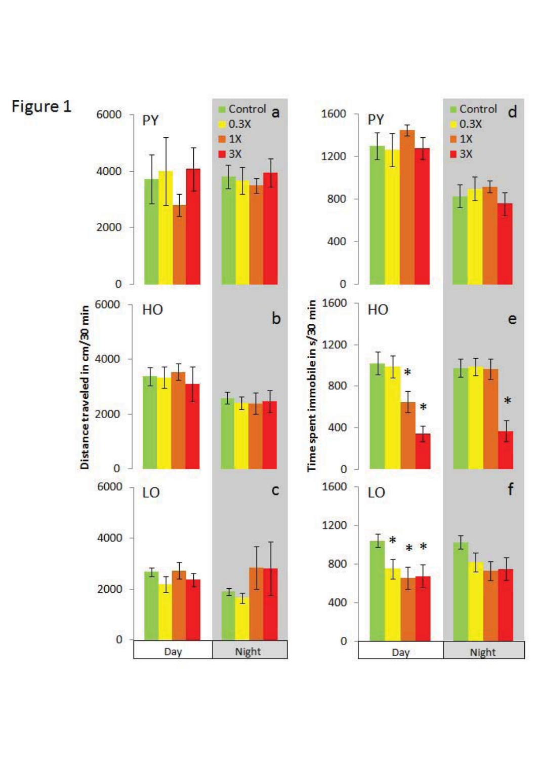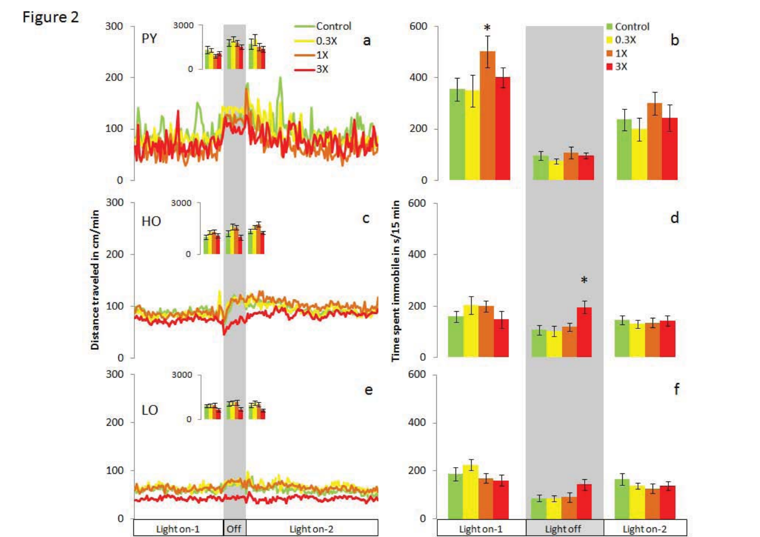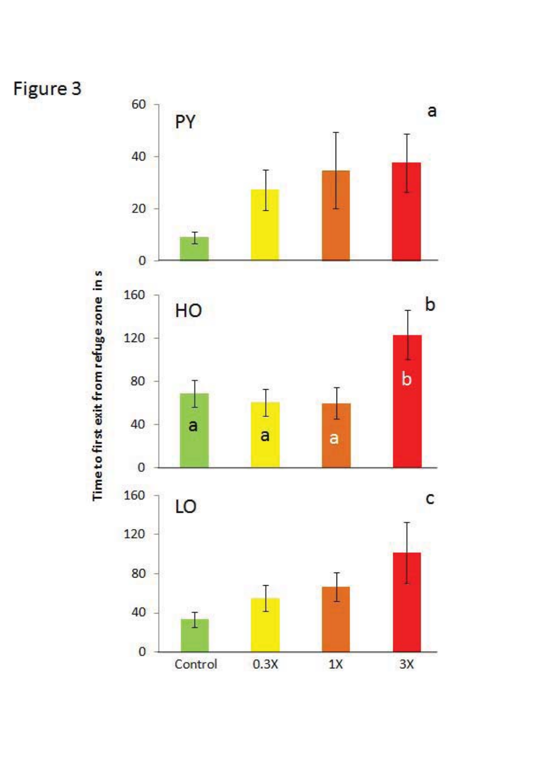

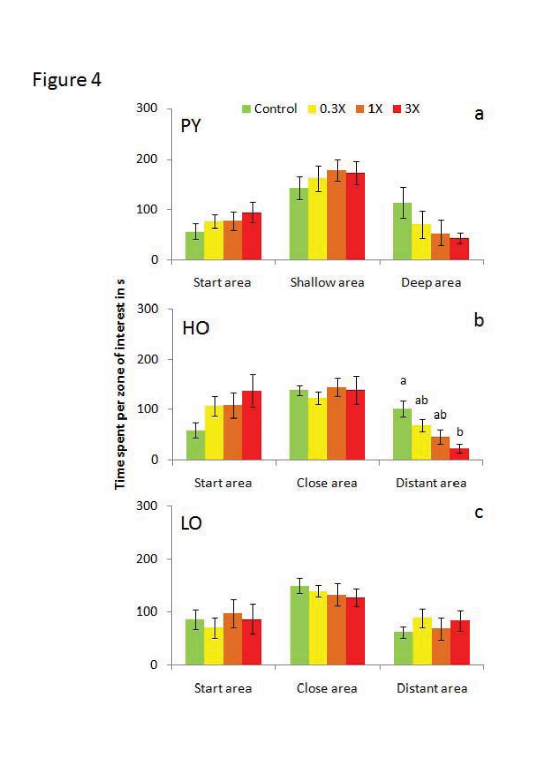# Figure 4

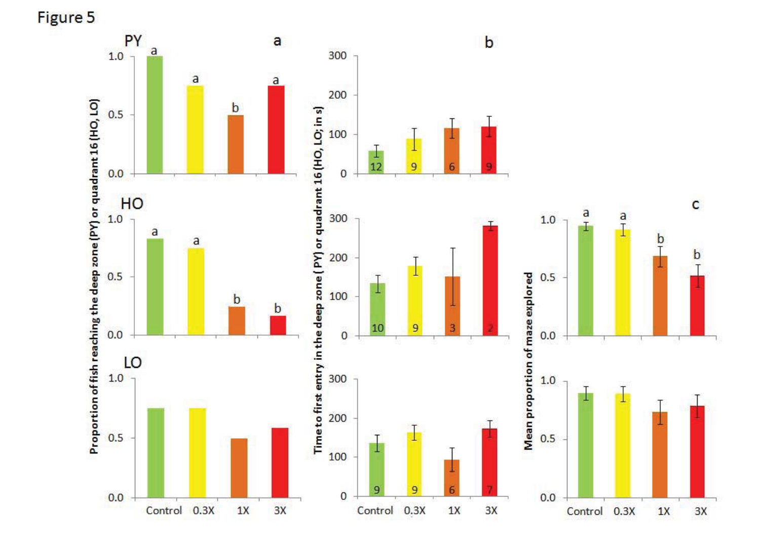